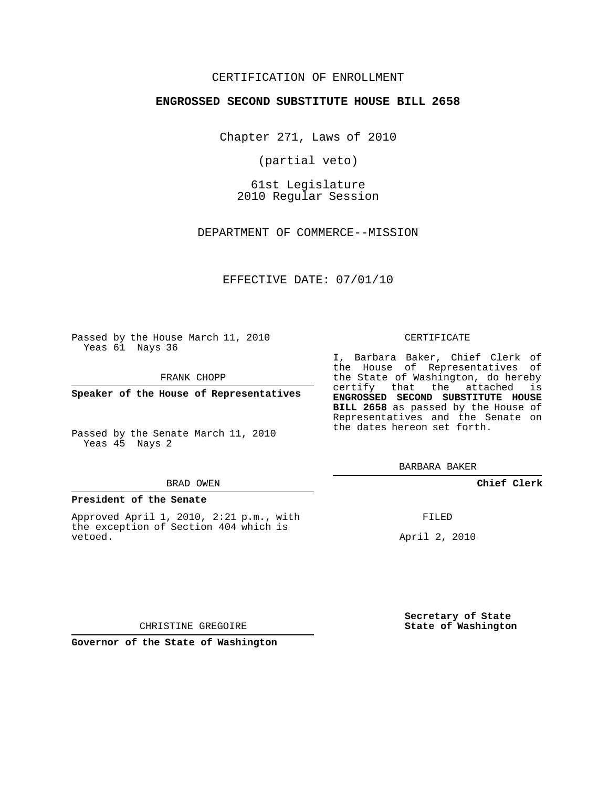#### CERTIFICATION OF ENROLLMENT

#### **ENGROSSED SECOND SUBSTITUTE HOUSE BILL 2658**

Chapter 271, Laws of 2010

(partial veto)

61st Legislature 2010 Regular Session

DEPARTMENT OF COMMERCE--MISSION

#### EFFECTIVE DATE: 07/01/10

Passed by the House March 11, 2010 Yeas 61 Nays 36

FRANK CHOPP

Yeas 45 Nays 2

#### BRAD OWEN

#### **President of the Senate**

Approved April 1, 2010, 2:21 p.m., with the exception of Section 404 which is vetoed.

#### CERTIFICATE

I, Barbara Baker, Chief Clerk of the House of Representatives of the State of Washington, do hereby certify that the attached is **ENGROSSED SECOND SUBSTITUTE HOUSE BILL 2658** as passed by the House of Representatives and the Senate on the dates hereon set forth.

BARBARA BAKER

**Chief Clerk**

FILED

April 2, 2010

**Secretary of State State of Washington**

CHRISTINE GREGOIRE

**Governor of the State of Washington**

**Speaker of the House of Representatives**

Passed by the Senate March 11, 2010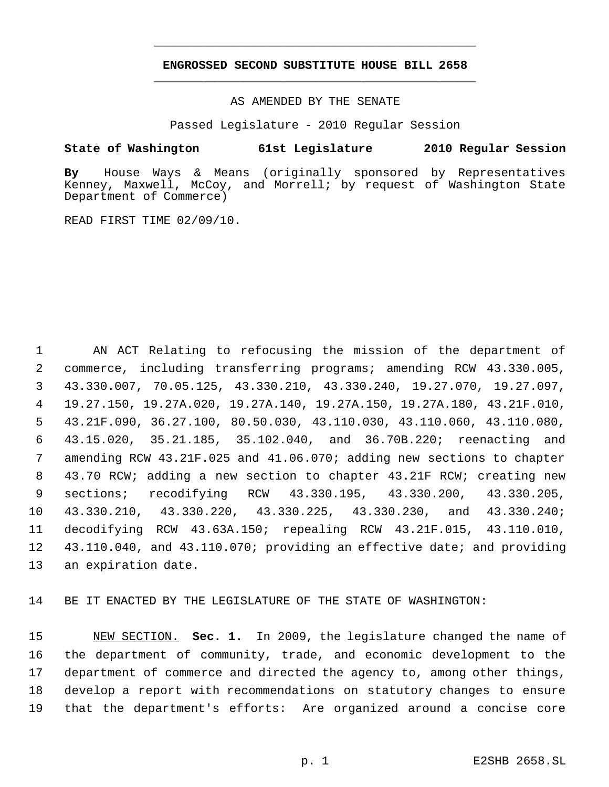## **ENGROSSED SECOND SUBSTITUTE HOUSE BILL 2658** \_\_\_\_\_\_\_\_\_\_\_\_\_\_\_\_\_\_\_\_\_\_\_\_\_\_\_\_\_\_\_\_\_\_\_\_\_\_\_\_\_\_\_\_\_

\_\_\_\_\_\_\_\_\_\_\_\_\_\_\_\_\_\_\_\_\_\_\_\_\_\_\_\_\_\_\_\_\_\_\_\_\_\_\_\_\_\_\_\_\_

AS AMENDED BY THE SENATE

Passed Legislature - 2010 Regular Session

#### **State of Washington 61st Legislature 2010 Regular Session**

**By** House Ways & Means (originally sponsored by Representatives Kenney, Maxwell, McCoy, and Morrell; by request of Washington State Department of Commerce)

READ FIRST TIME 02/09/10.

 AN ACT Relating to refocusing the mission of the department of commerce, including transferring programs; amending RCW 43.330.005, 43.330.007, 70.05.125, 43.330.210, 43.330.240, 19.27.070, 19.27.097, 19.27.150, 19.27A.020, 19.27A.140, 19.27A.150, 19.27A.180, 43.21F.010, 43.21F.090, 36.27.100, 80.50.030, 43.110.030, 43.110.060, 43.110.080, 43.15.020, 35.21.185, 35.102.040, and 36.70B.220; reenacting and amending RCW 43.21F.025 and 41.06.070; adding new sections to chapter 43.70 RCW; adding a new section to chapter 43.21F RCW; creating new sections; recodifying RCW 43.330.195, 43.330.200, 43.330.205, 43.330.210, 43.330.220, 43.330.225, 43.330.230, and 43.330.240; decodifying RCW 43.63A.150; repealing RCW 43.21F.015, 43.110.010, 43.110.040, and 43.110.070; providing an effective date; and providing an expiration date.

BE IT ENACTED BY THE LEGISLATURE OF THE STATE OF WASHINGTON:

 NEW SECTION. **Sec. 1.** In 2009, the legislature changed the name of the department of community, trade, and economic development to the department of commerce and directed the agency to, among other things, develop a report with recommendations on statutory changes to ensure that the department's efforts: Are organized around a concise core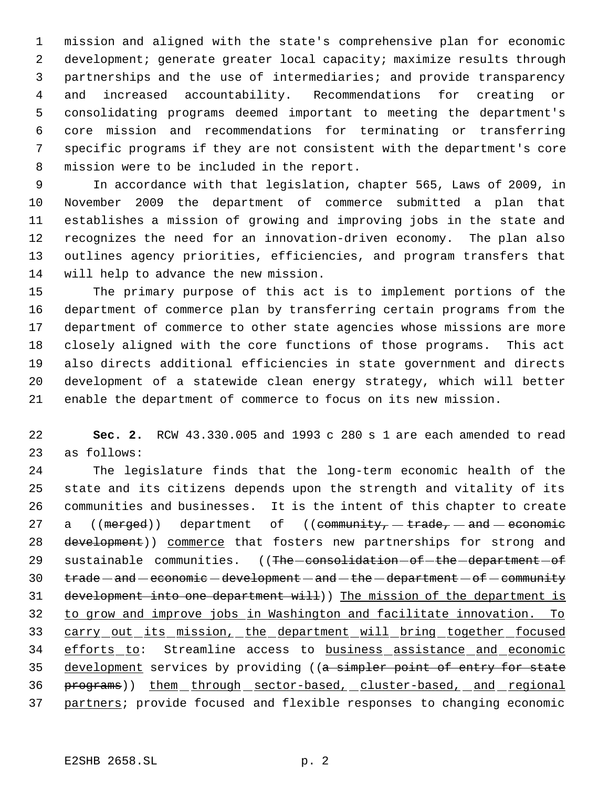mission and aligned with the state's comprehensive plan for economic development; generate greater local capacity; maximize results through partnerships and the use of intermediaries; and provide transparency and increased accountability. Recommendations for creating or consolidating programs deemed important to meeting the department's core mission and recommendations for terminating or transferring specific programs if they are not consistent with the department's core mission were to be included in the report.

 In accordance with that legislation, chapter 565, Laws of 2009, in November 2009 the department of commerce submitted a plan that establishes a mission of growing and improving jobs in the state and recognizes the need for an innovation-driven economy. The plan also outlines agency priorities, efficiencies, and program transfers that will help to advance the new mission.

 The primary purpose of this act is to implement portions of the department of commerce plan by transferring certain programs from the department of commerce to other state agencies whose missions are more closely aligned with the core functions of those programs. This act also directs additional efficiencies in state government and directs development of a statewide clean energy strategy, which will better enable the department of commerce to focus on its new mission.

 **Sec. 2.** RCW 43.330.005 and 1993 c 280 s 1 are each amended to read as follows:

 The legislature finds that the long-term economic health of the state and its citizens depends upon the strength and vitality of its communities and businesses. It is the intent of this chapter to create 27 a  $((\text{merged}))$  department of  $((\text{community}, -\text{trade}, -\text{and} -\text{economic})$ 28 development)) commerce that fosters new partnerships for strong and 29 sustainable communities. ((The consolidation - of the department - of 30 trade — and — economic — development — and — the — department — of — community development into one department will)) The mission of the department is to grow and improve jobs in Washington and facilitate innovation. To 33 carry out its mission, the department will bring together focused 34 efforts to: Streamline access to business assistance and economic 35 development services by providing ((a simpler point of entry for state 36 programs)) them through sector-based, cluster-based, and regional 37 partners; provide focused and flexible responses to changing economic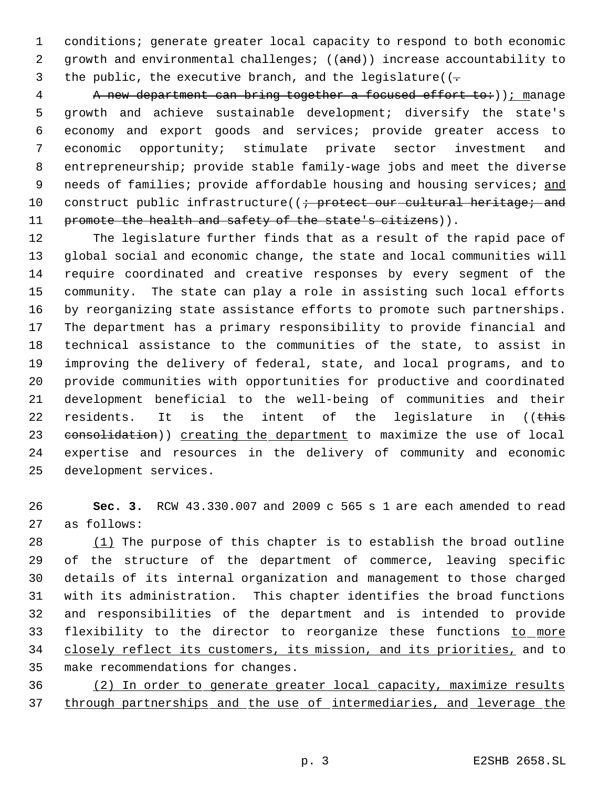conditions; generate greater local capacity to respond to both economic 2 growth and environmental challenges; ((and)) increase accountability to 3 the public, the executive branch, and the legislature( $(-$ 

4 A new department can bring together a focused effort to: ) ); manage growth and achieve sustainable development; diversify the state's economy and export goods and services; provide greater access to economic opportunity; stimulate private sector investment and entrepreneurship; provide stable family-wage jobs and meet the diverse 9 needs of families; provide affordable housing and housing services; and 10 construct public infrastructure((; protect our cultural heritage; and 11 promote the health and safety of the state's citizens)).

 The legislature further finds that as a result of the rapid pace of global social and economic change, the state and local communities will require coordinated and creative responses by every segment of the community. The state can play a role in assisting such local efforts by reorganizing state assistance efforts to promote such partnerships. The department has a primary responsibility to provide financial and technical assistance to the communities of the state, to assist in improving the delivery of federal, state, and local programs, and to provide communities with opportunities for productive and coordinated development beneficial to the well-being of communities and their 22 residents. It is the intent of the legislature in ((this 23 consolidation)) creating the department to maximize the use of local expertise and resources in the delivery of community and economic development services.

 **Sec. 3.** RCW 43.330.007 and 2009 c 565 s 1 are each amended to read as follows:

 (1) The purpose of this chapter is to establish the broad outline of the structure of the department of commerce, leaving specific details of its internal organization and management to those charged with its administration. This chapter identifies the broad functions and responsibilities of the department and is intended to provide 33 flexibility to the director to reorganize these functions to more 34 closely reflect its customers, its mission, and its priorities, and to make recommendations for changes.

 (2) In order to generate greater local capacity, maximize results through partnerships and the use of intermediaries, and leverage the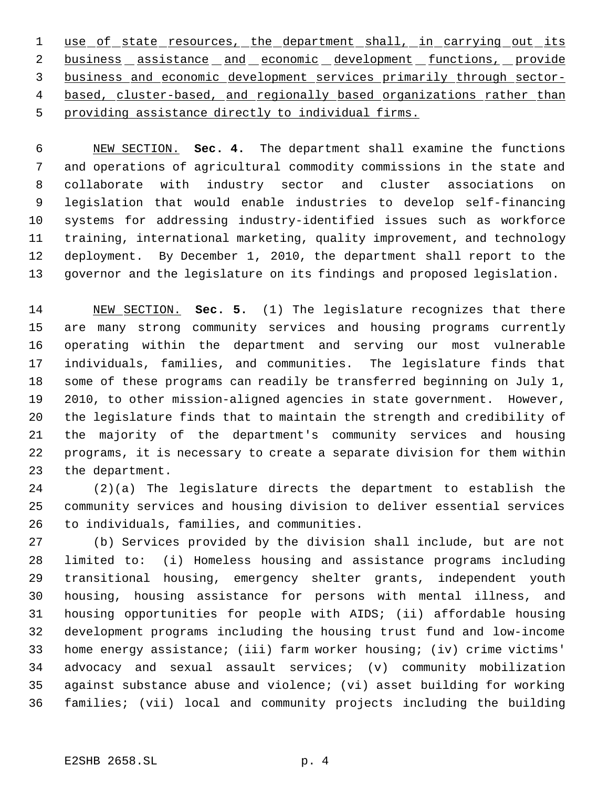1 use of state resources, the department shall, in carrying out its 2 business assistance and economic development functions, provide business and economic development services primarily through sector- 4 based, cluster-based, and regionally based organizations rather than providing assistance directly to individual firms.

 NEW SECTION. **Sec. 4.** The department shall examine the functions and operations of agricultural commodity commissions in the state and collaborate with industry sector and cluster associations on legislation that would enable industries to develop self-financing systems for addressing industry-identified issues such as workforce training, international marketing, quality improvement, and technology deployment. By December 1, 2010, the department shall report to the governor and the legislature on its findings and proposed legislation.

 NEW SECTION. **Sec. 5.** (1) The legislature recognizes that there are many strong community services and housing programs currently operating within the department and serving our most vulnerable individuals, families, and communities. The legislature finds that some of these programs can readily be transferred beginning on July 1, 2010, to other mission-aligned agencies in state government. However, the legislature finds that to maintain the strength and credibility of the majority of the department's community services and housing programs, it is necessary to create a separate division for them within the department.

 (2)(a) The legislature directs the department to establish the community services and housing division to deliver essential services to individuals, families, and communities.

 (b) Services provided by the division shall include, but are not limited to: (i) Homeless housing and assistance programs including transitional housing, emergency shelter grants, independent youth housing, housing assistance for persons with mental illness, and housing opportunities for people with AIDS; (ii) affordable housing development programs including the housing trust fund and low-income home energy assistance; (iii) farm worker housing; (iv) crime victims' advocacy and sexual assault services; (v) community mobilization against substance abuse and violence; (vi) asset building for working families; (vii) local and community projects including the building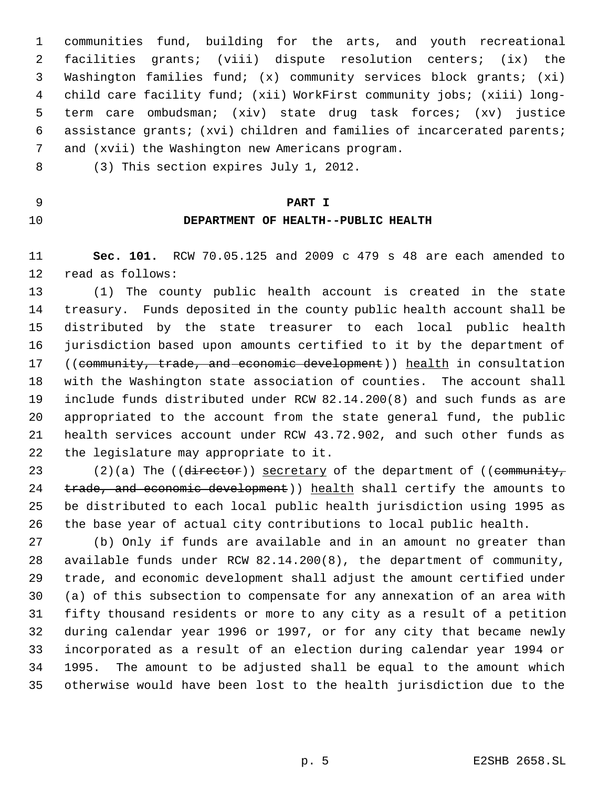communities fund, building for the arts, and youth recreational facilities grants; (viii) dispute resolution centers; (ix) the Washington families fund; (x) community services block grants; (xi) child care facility fund; (xii) WorkFirst community jobs; (xiii) long- term care ombudsman; (xiv) state drug task forces; (xv) justice assistance grants; (xvi) children and families of incarcerated parents; and (xvii) the Washington new Americans program.

- (3) This section expires July 1, 2012.
- **PART I**

# **DEPARTMENT OF HEALTH--PUBLIC HEALTH**

 **Sec. 101.** RCW 70.05.125 and 2009 c 479 s 48 are each amended to read as follows:

 (1) The county public health account is created in the state treasury. Funds deposited in the county public health account shall be distributed by the state treasurer to each local public health jurisdiction based upon amounts certified to it by the department of 17 ((community, trade, and economic development)) health in consultation with the Washington state association of counties. The account shall include funds distributed under RCW 82.14.200(8) and such funds as are appropriated to the account from the state general fund, the public health services account under RCW 43.72.902, and such other funds as the legislature may appropriate to it.

23 (2)(a) The (( $\frac{d \text{interior}}{d \text{is } d}$ ) secretary of the department of (( $\frac{d \text{community}}{d \text{is } d}$ 24 trade, and economic development)) health shall certify the amounts to be distributed to each local public health jurisdiction using 1995 as the base year of actual city contributions to local public health.

 (b) Only if funds are available and in an amount no greater than available funds under RCW 82.14.200(8), the department of community, trade, and economic development shall adjust the amount certified under (a) of this subsection to compensate for any annexation of an area with fifty thousand residents or more to any city as a result of a petition during calendar year 1996 or 1997, or for any city that became newly incorporated as a result of an election during calendar year 1994 or 1995. The amount to be adjusted shall be equal to the amount which otherwise would have been lost to the health jurisdiction due to the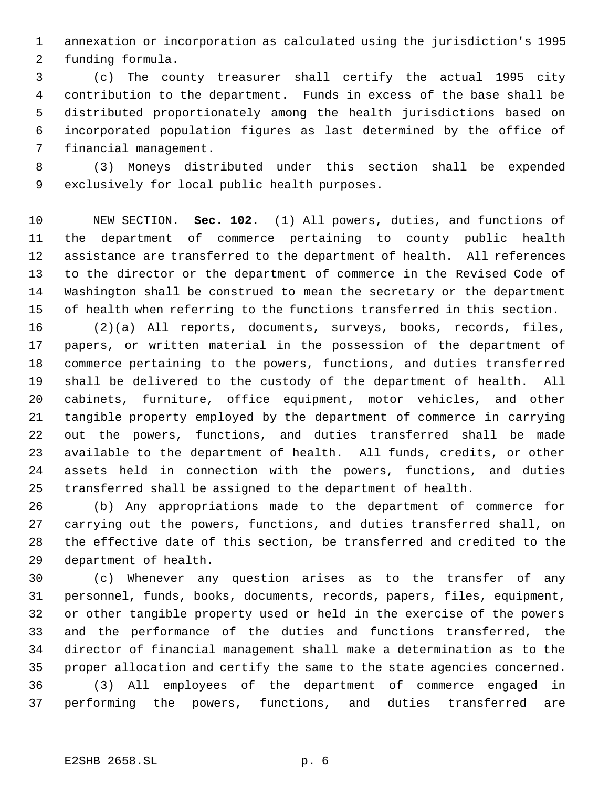annexation or incorporation as calculated using the jurisdiction's 1995 funding formula.

 (c) The county treasurer shall certify the actual 1995 city contribution to the department. Funds in excess of the base shall be distributed proportionately among the health jurisdictions based on incorporated population figures as last determined by the office of financial management.

 (3) Moneys distributed under this section shall be expended exclusively for local public health purposes.

 NEW SECTION. **Sec. 102.** (1) All powers, duties, and functions of the department of commerce pertaining to county public health assistance are transferred to the department of health. All references to the director or the department of commerce in the Revised Code of Washington shall be construed to mean the secretary or the department of health when referring to the functions transferred in this section.

 (2)(a) All reports, documents, surveys, books, records, files, papers, or written material in the possession of the department of commerce pertaining to the powers, functions, and duties transferred shall be delivered to the custody of the department of health. All cabinets, furniture, office equipment, motor vehicles, and other tangible property employed by the department of commerce in carrying out the powers, functions, and duties transferred shall be made available to the department of health. All funds, credits, or other assets held in connection with the powers, functions, and duties transferred shall be assigned to the department of health.

 (b) Any appropriations made to the department of commerce for carrying out the powers, functions, and duties transferred shall, on the effective date of this section, be transferred and credited to the department of health.

 (c) Whenever any question arises as to the transfer of any personnel, funds, books, documents, records, papers, files, equipment, or other tangible property used or held in the exercise of the powers and the performance of the duties and functions transferred, the director of financial management shall make a determination as to the proper allocation and certify the same to the state agencies concerned. (3) All employees of the department of commerce engaged in performing the powers, functions, and duties transferred are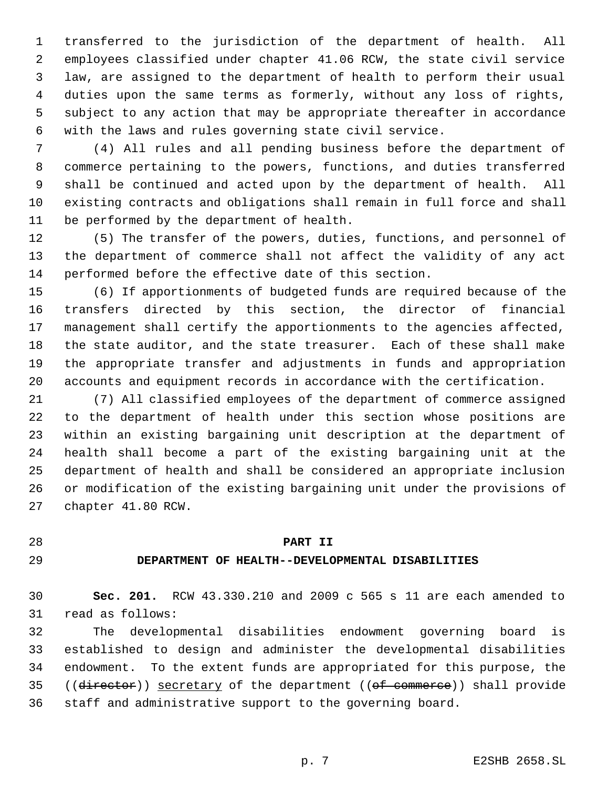transferred to the jurisdiction of the department of health. All employees classified under chapter 41.06 RCW, the state civil service law, are assigned to the department of health to perform their usual duties upon the same terms as formerly, without any loss of rights, subject to any action that may be appropriate thereafter in accordance with the laws and rules governing state civil service.

 (4) All rules and all pending business before the department of commerce pertaining to the powers, functions, and duties transferred shall be continued and acted upon by the department of health. All existing contracts and obligations shall remain in full force and shall be performed by the department of health.

 (5) The transfer of the powers, duties, functions, and personnel of the department of commerce shall not affect the validity of any act performed before the effective date of this section.

 (6) If apportionments of budgeted funds are required because of the transfers directed by this section, the director of financial management shall certify the apportionments to the agencies affected, the state auditor, and the state treasurer. Each of these shall make the appropriate transfer and adjustments in funds and appropriation accounts and equipment records in accordance with the certification.

 (7) All classified employees of the department of commerce assigned to the department of health under this section whose positions are within an existing bargaining unit description at the department of health shall become a part of the existing bargaining unit at the department of health and shall be considered an appropriate inclusion or modification of the existing bargaining unit under the provisions of chapter 41.80 RCW.

## **PART II**

#### **DEPARTMENT OF HEALTH--DEVELOPMENTAL DISABILITIES**

 **Sec. 201.** RCW 43.330.210 and 2009 c 565 s 11 are each amended to read as follows:

 The developmental disabilities endowment governing board is established to design and administer the developmental disabilities endowment. To the extent funds are appropriated for this purpose, the 35 ((director)) secretary of the department ((of commerce)) shall provide staff and administrative support to the governing board.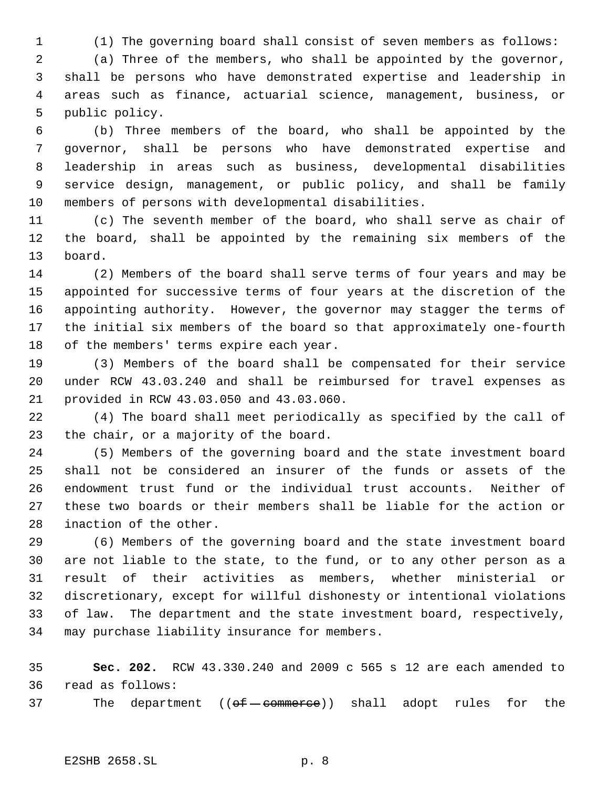(1) The governing board shall consist of seven members as follows:

 (a) Three of the members, who shall be appointed by the governor, shall be persons who have demonstrated expertise and leadership in areas such as finance, actuarial science, management, business, or public policy.

 (b) Three members of the board, who shall be appointed by the governor, shall be persons who have demonstrated expertise and leadership in areas such as business, developmental disabilities service design, management, or public policy, and shall be family members of persons with developmental disabilities.

 (c) The seventh member of the board, who shall serve as chair of the board, shall be appointed by the remaining six members of the board.

 (2) Members of the board shall serve terms of four years and may be appointed for successive terms of four years at the discretion of the appointing authority. However, the governor may stagger the terms of the initial six members of the board so that approximately one-fourth 18 of the members' terms expire each year.

 (3) Members of the board shall be compensated for their service under RCW 43.03.240 and shall be reimbursed for travel expenses as provided in RCW 43.03.050 and 43.03.060.

 (4) The board shall meet periodically as specified by the call of the chair, or a majority of the board.

 (5) Members of the governing board and the state investment board shall not be considered an insurer of the funds or assets of the endowment trust fund or the individual trust accounts. Neither of these two boards or their members shall be liable for the action or inaction of the other.

 (6) Members of the governing board and the state investment board are not liable to the state, to the fund, or to any other person as a result of their activities as members, whether ministerial or discretionary, except for willful dishonesty or intentional violations of law. The department and the state investment board, respectively, may purchase liability insurance for members.

 **Sec. 202.** RCW 43.330.240 and 2009 c 565 s 12 are each amended to read as follows:

37 The department  $((\theta) \theta - \theta)$  shall adopt rules for the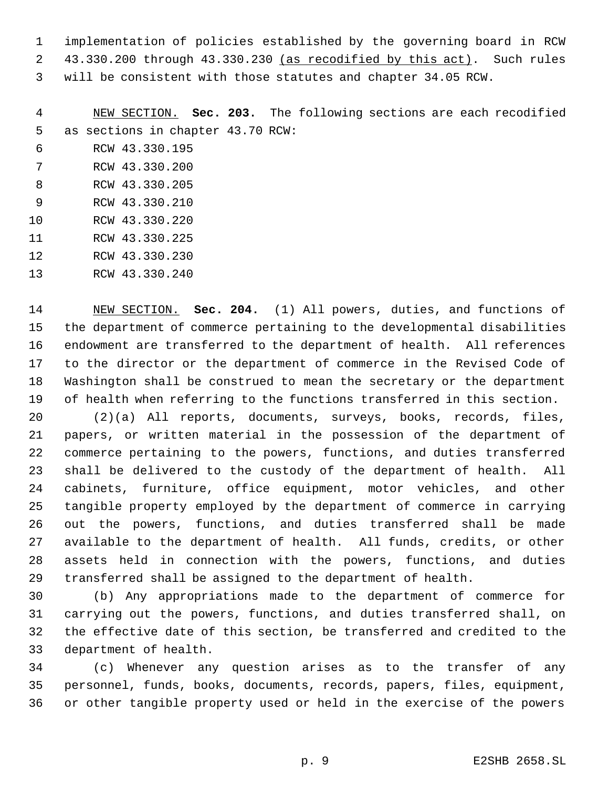implementation of policies established by the governing board in RCW 43.330.200 through 43.330.230 (as recodified by this act). Such rules

will be consistent with those statutes and chapter 34.05 RCW.

 NEW SECTION. **Sec. 203.** The following sections are each recodified as sections in chapter 43.70 RCW:

- RCW 43.330.195
- RCW 43.330.200
- RCW 43.330.205
- RCW 43.330.210 RCW 43.330.220
- RCW 43.330.225
- RCW 43.330.230
- RCW 43.330.240

 NEW SECTION. **Sec. 204.** (1) All powers, duties, and functions of the department of commerce pertaining to the developmental disabilities endowment are transferred to the department of health. All references to the director or the department of commerce in the Revised Code of Washington shall be construed to mean the secretary or the department of health when referring to the functions transferred in this section.

 (2)(a) All reports, documents, surveys, books, records, files, papers, or written material in the possession of the department of commerce pertaining to the powers, functions, and duties transferred shall be delivered to the custody of the department of health. All cabinets, furniture, office equipment, motor vehicles, and other tangible property employed by the department of commerce in carrying out the powers, functions, and duties transferred shall be made available to the department of health. All funds, credits, or other assets held in connection with the powers, functions, and duties transferred shall be assigned to the department of health.

 (b) Any appropriations made to the department of commerce for carrying out the powers, functions, and duties transferred shall, on the effective date of this section, be transferred and credited to the department of health.

 (c) Whenever any question arises as to the transfer of any personnel, funds, books, documents, records, papers, files, equipment, or other tangible property used or held in the exercise of the powers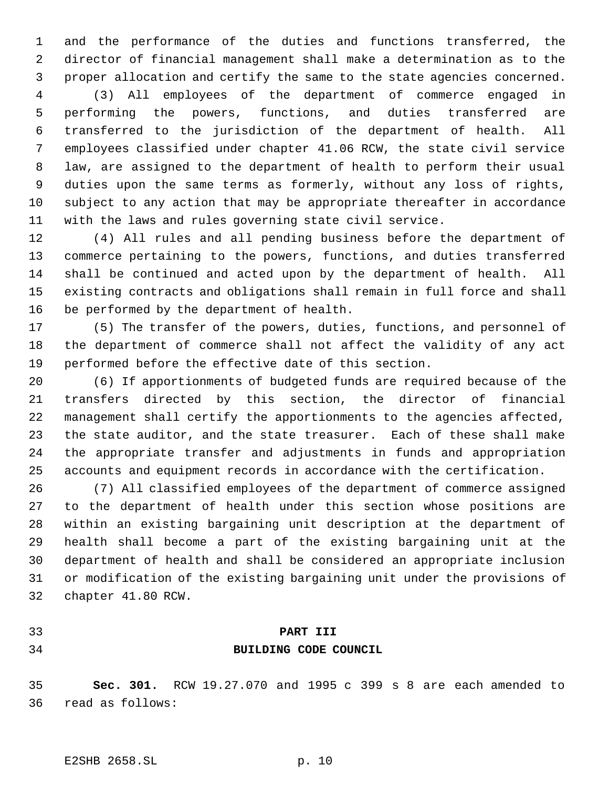and the performance of the duties and functions transferred, the director of financial management shall make a determination as to the proper allocation and certify the same to the state agencies concerned.

 (3) All employees of the department of commerce engaged in performing the powers, functions, and duties transferred are transferred to the jurisdiction of the department of health. All employees classified under chapter 41.06 RCW, the state civil service law, are assigned to the department of health to perform their usual duties upon the same terms as formerly, without any loss of rights, subject to any action that may be appropriate thereafter in accordance with the laws and rules governing state civil service.

 (4) All rules and all pending business before the department of commerce pertaining to the powers, functions, and duties transferred shall be continued and acted upon by the department of health. All existing contracts and obligations shall remain in full force and shall be performed by the department of health.

 (5) The transfer of the powers, duties, functions, and personnel of the department of commerce shall not affect the validity of any act performed before the effective date of this section.

 (6) If apportionments of budgeted funds are required because of the transfers directed by this section, the director of financial management shall certify the apportionments to the agencies affected, the state auditor, and the state treasurer. Each of these shall make the appropriate transfer and adjustments in funds and appropriation accounts and equipment records in accordance with the certification.

 (7) All classified employees of the department of commerce assigned to the department of health under this section whose positions are within an existing bargaining unit description at the department of health shall become a part of the existing bargaining unit at the department of health and shall be considered an appropriate inclusion or modification of the existing bargaining unit under the provisions of chapter 41.80 RCW.

# **PART III BUILDING CODE COUNCIL**

 **Sec. 301.** RCW 19.27.070 and 1995 c 399 s 8 are each amended to read as follows: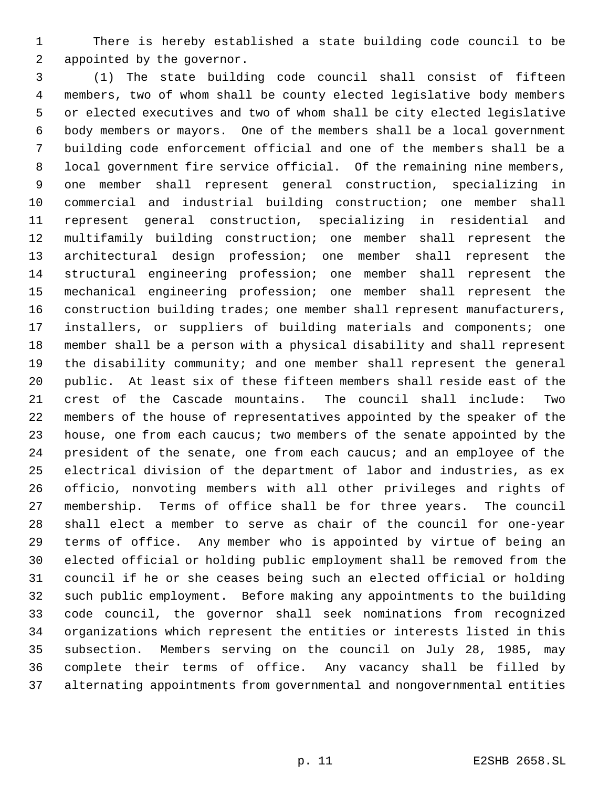There is hereby established a state building code council to be appointed by the governor.

 (1) The state building code council shall consist of fifteen members, two of whom shall be county elected legislative body members or elected executives and two of whom shall be city elected legislative body members or mayors. One of the members shall be a local government building code enforcement official and one of the members shall be a local government fire service official. Of the remaining nine members, one member shall represent general construction, specializing in commercial and industrial building construction; one member shall represent general construction, specializing in residential and multifamily building construction; one member shall represent the architectural design profession; one member shall represent the structural engineering profession; one member shall represent the mechanical engineering profession; one member shall represent the construction building trades; one member shall represent manufacturers, installers, or suppliers of building materials and components; one member shall be a person with a physical disability and shall represent the disability community; and one member shall represent the general public. At least six of these fifteen members shall reside east of the crest of the Cascade mountains. The council shall include: Two members of the house of representatives appointed by the speaker of the 23 house, one from each caucus; two members of the senate appointed by the president of the senate, one from each caucus; and an employee of the electrical division of the department of labor and industries, as ex officio, nonvoting members with all other privileges and rights of membership. Terms of office shall be for three years. The council shall elect a member to serve as chair of the council for one-year terms of office. Any member who is appointed by virtue of being an elected official or holding public employment shall be removed from the council if he or she ceases being such an elected official or holding such public employment. Before making any appointments to the building code council, the governor shall seek nominations from recognized organizations which represent the entities or interests listed in this subsection. Members serving on the council on July 28, 1985, may complete their terms of office. Any vacancy shall be filled by alternating appointments from governmental and nongovernmental entities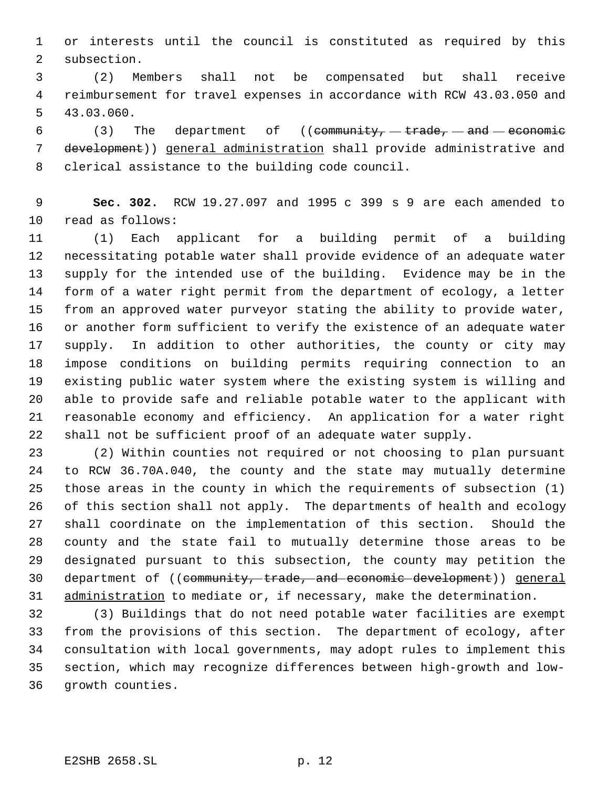or interests until the council is constituted as required by this subsection.

 (2) Members shall not be compensated but shall receive reimbursement for travel expenses in accordance with RCW 43.03.050 and 43.03.060.

6 (3) The department of ((community,  $-$  trade,  $-$  and  $-$  economic development)) general administration shall provide administrative and clerical assistance to the building code council.

 **Sec. 302.** RCW 19.27.097 and 1995 c 399 s 9 are each amended to read as follows:

 (1) Each applicant for a building permit of a building necessitating potable water shall provide evidence of an adequate water supply for the intended use of the building. Evidence may be in the form of a water right permit from the department of ecology, a letter from an approved water purveyor stating the ability to provide water, or another form sufficient to verify the existence of an adequate water supply. In addition to other authorities, the county or city may impose conditions on building permits requiring connection to an existing public water system where the existing system is willing and able to provide safe and reliable potable water to the applicant with reasonable economy and efficiency. An application for a water right shall not be sufficient proof of an adequate water supply.

 (2) Within counties not required or not choosing to plan pursuant to RCW 36.70A.040, the county and the state may mutually determine those areas in the county in which the requirements of subsection (1) of this section shall not apply. The departments of health and ecology shall coordinate on the implementation of this section. Should the county and the state fail to mutually determine those areas to be designated pursuant to this subsection, the county may petition the department of ((community, trade, and economic development)) general 31 administration to mediate or, if necessary, make the determination.

 (3) Buildings that do not need potable water facilities are exempt from the provisions of this section. The department of ecology, after consultation with local governments, may adopt rules to implement this section, which may recognize differences between high-growth and low-growth counties.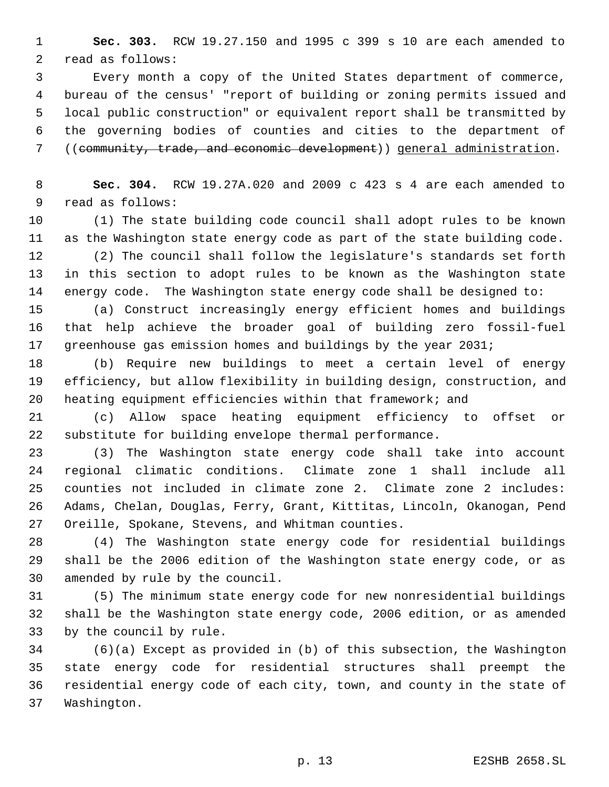**Sec. 303.** RCW 19.27.150 and 1995 c 399 s 10 are each amended to read as follows:

 Every month a copy of the United States department of commerce, bureau of the census' "report of building or zoning permits issued and local public construction" or equivalent report shall be transmitted by the governing bodies of counties and cities to the department of ((community, trade, and economic development)) general administration.

 **Sec. 304.** RCW 19.27A.020 and 2009 c 423 s 4 are each amended to read as follows:

 (1) The state building code council shall adopt rules to be known as the Washington state energy code as part of the state building code.

 (2) The council shall follow the legislature's standards set forth in this section to adopt rules to be known as the Washington state energy code. The Washington state energy code shall be designed to:

 (a) Construct increasingly energy efficient homes and buildings that help achieve the broader goal of building zero fossil-fuel greenhouse gas emission homes and buildings by the year 2031;

 (b) Require new buildings to meet a certain level of energy efficiency, but allow flexibility in building design, construction, and heating equipment efficiencies within that framework; and

 (c) Allow space heating equipment efficiency to offset or substitute for building envelope thermal performance.

 (3) The Washington state energy code shall take into account regional climatic conditions. Climate zone 1 shall include all counties not included in climate zone 2. Climate zone 2 includes: Adams, Chelan, Douglas, Ferry, Grant, Kittitas, Lincoln, Okanogan, Pend Oreille, Spokane, Stevens, and Whitman counties.

 (4) The Washington state energy code for residential buildings shall be the 2006 edition of the Washington state energy code, or as amended by rule by the council.

 (5) The minimum state energy code for new nonresidential buildings shall be the Washington state energy code, 2006 edition, or as amended by the council by rule.

 (6)(a) Except as provided in (b) of this subsection, the Washington state energy code for residential structures shall preempt the residential energy code of each city, town, and county in the state of Washington.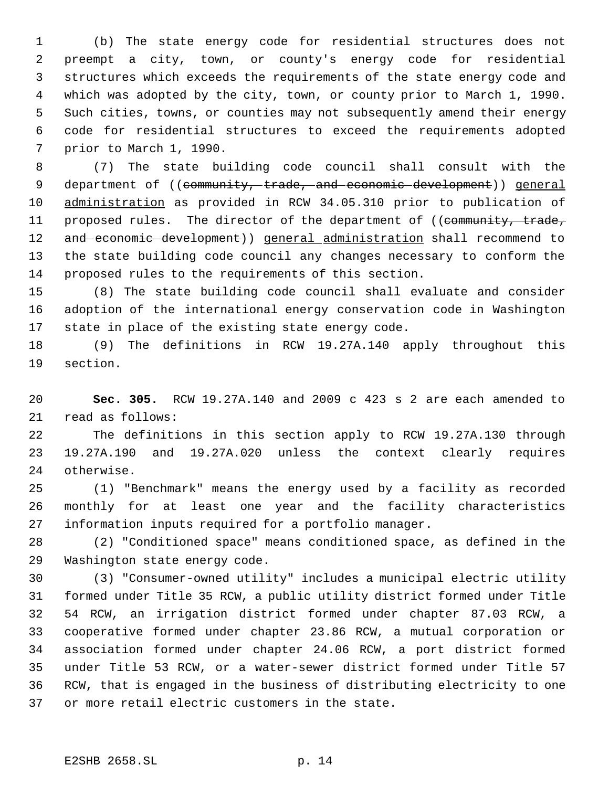(b) The state energy code for residential structures does not preempt a city, town, or county's energy code for residential structures which exceeds the requirements of the state energy code and which was adopted by the city, town, or county prior to March 1, 1990. Such cities, towns, or counties may not subsequently amend their energy code for residential structures to exceed the requirements adopted prior to March 1, 1990.

 (7) The state building code council shall consult with the 9 department of ((community, trade, and economic development)) general administration as provided in RCW 34.05.310 prior to publication of 11 proposed rules. The director of the department of ((community, trade, 12 and economic development)) general administration shall recommend to the state building code council any changes necessary to conform the proposed rules to the requirements of this section.

 (8) The state building code council shall evaluate and consider adoption of the international energy conservation code in Washington state in place of the existing state energy code.

 (9) The definitions in RCW 19.27A.140 apply throughout this section.

 **Sec. 305.** RCW 19.27A.140 and 2009 c 423 s 2 are each amended to read as follows:

 The definitions in this section apply to RCW 19.27A.130 through 19.27A.190 and 19.27A.020 unless the context clearly requires otherwise.

 (1) "Benchmark" means the energy used by a facility as recorded monthly for at least one year and the facility characteristics information inputs required for a portfolio manager.

 (2) "Conditioned space" means conditioned space, as defined in the Washington state energy code.

 (3) "Consumer-owned utility" includes a municipal electric utility formed under Title 35 RCW, a public utility district formed under Title 54 RCW, an irrigation district formed under chapter 87.03 RCW, a cooperative formed under chapter 23.86 RCW, a mutual corporation or association formed under chapter 24.06 RCW, a port district formed under Title 53 RCW, or a water-sewer district formed under Title 57 RCW, that is engaged in the business of distributing electricity to one or more retail electric customers in the state.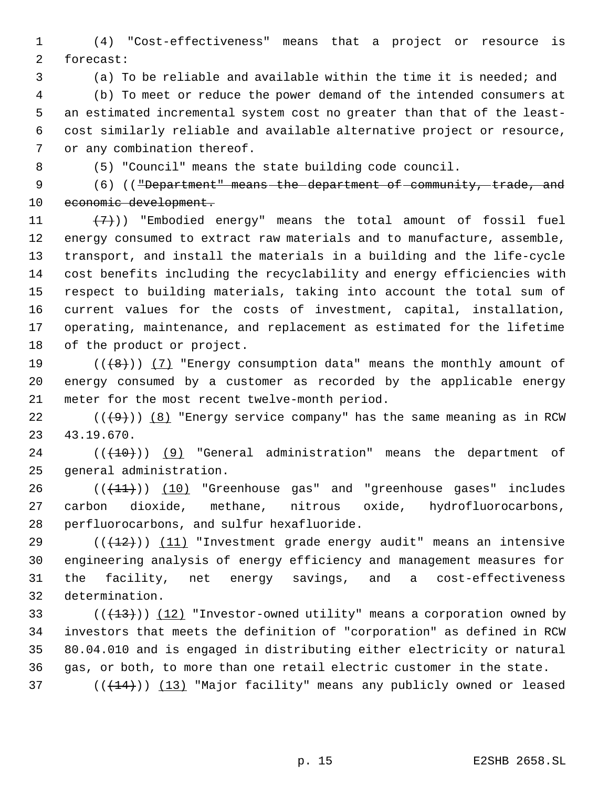(4) "Cost-effectiveness" means that a project or resource is forecast:

(a) To be reliable and available within the time it is needed; and

 (b) To meet or reduce the power demand of the intended consumers at an estimated incremental system cost no greater than that of the least- cost similarly reliable and available alternative project or resource, or any combination thereof.

(5) "Council" means the state building code council.

9 (6) (("Department" means the department of community, trade, and 10 economic development.

 $(7)$ )) "Embodied energy" means the total amount of fossil fuel energy consumed to extract raw materials and to manufacture, assemble, transport, and install the materials in a building and the life-cycle cost benefits including the recyclability and energy efficiencies with respect to building materials, taking into account the total sum of current values for the costs of investment, capital, installation, operating, maintenance, and replacement as estimated for the lifetime of the product or project.

19  $((+8))$   $(7)$  "Energy consumption data" means the monthly amount of energy consumed by a customer as recorded by the applicable energy meter for the most recent twelve-month period.

22 ( $(\overline{+9})$ ) (8) "Energy service company" has the same meaning as in RCW 43.19.670.

 ( $(\overline{+10})$ )  $(9)$  "General administration" means the department of general administration.

26 (( $(11)$ )) (10) "Greenhouse gas" and "greenhouse gases" includes carbon dioxide, methane, nitrous oxide, hydrofluorocarbons, perfluorocarbons, and sulfur hexafluoride.

29 ( $(\frac{12}{12})$ ) (11) "Investment grade energy audit" means an intensive engineering analysis of energy efficiency and management measures for the facility, net energy savings, and a cost-effectiveness determination.

33 ( $(\frac{13}{13})$ ) (12) "Investor-owned utility" means a corporation owned by investors that meets the definition of "corporation" as defined in RCW 80.04.010 and is engaged in distributing either electricity or natural gas, or both, to more than one retail electric customer in the state.

37 ( $(\frac{14}{14})$ ) (13) "Major facility" means any publicly owned or leased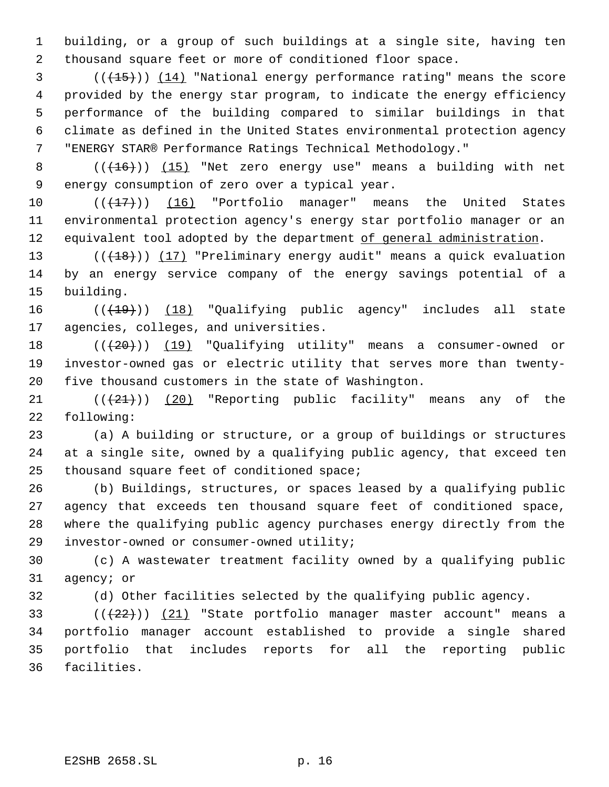building, or a group of such buildings at a single site, having ten thousand square feet or more of conditioned floor space.

 (( $\left(\frac{15}{15}\right)$ ) (14) "National energy performance rating" means the score provided by the energy star program, to indicate the energy efficiency performance of the building compared to similar buildings in that climate as defined in the United States environmental protection agency "ENERGY STAR® Performance Ratings Technical Methodology."

8 (( $(16)$ )) (15) "Net zero energy use" means a building with net energy consumption of zero over a typical year.

 $((+17))$  (16) "Portfolio manager" means the United States environmental protection agency's energy star portfolio manager or an 12 equivalent tool adopted by the department of general administration.

13 ((+18))) (17) "Preliminary energy audit" means a quick evaluation by an energy service company of the energy savings potential of a building.

16 (( $(19)$ )) (18) "Qualifying public agency" includes all state agencies, colleges, and universities.

18 (( $(20)$ )) (19) "Qualifying utility" means a consumer-owned or investor-owned gas or electric utility that serves more than twenty-five thousand customers in the state of Washington.

21  $((+21))$   $(20)$  "Reporting public facility" means any of the following:

 (a) A building or structure, or a group of buildings or structures at a single site, owned by a qualifying public agency, that exceed ten thousand square feet of conditioned space;

 (b) Buildings, structures, or spaces leased by a qualifying public agency that exceeds ten thousand square feet of conditioned space, where the qualifying public agency purchases energy directly from the investor-owned or consumer-owned utility;

 (c) A wastewater treatment facility owned by a qualifying public agency; or

(d) Other facilities selected by the qualifying public agency.

 $((22))$   $(21)$  "State portfolio manager master account" means a portfolio manager account established to provide a single shared portfolio that includes reports for all the reporting public facilities.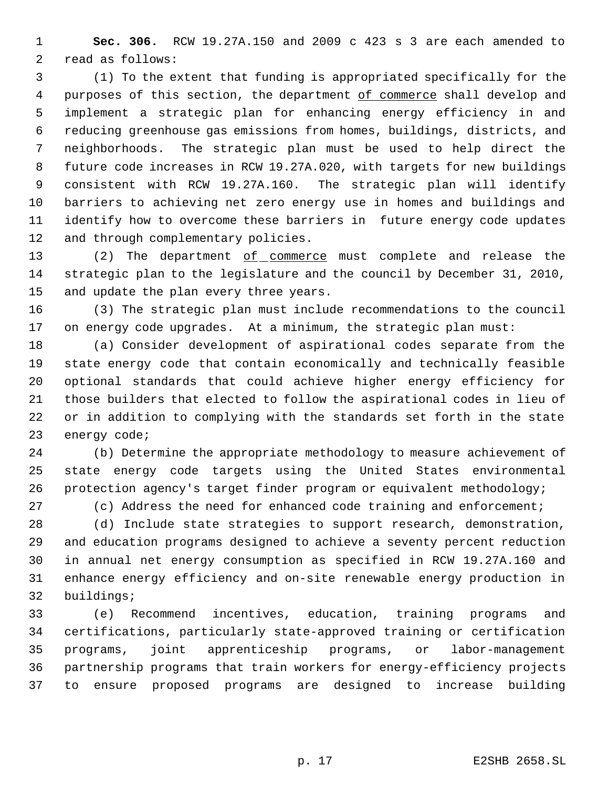**Sec. 306.** RCW 19.27A.150 and 2009 c 423 s 3 are each amended to read as follows:

 (1) To the extent that funding is appropriated specifically for the 4 purposes of this section, the department of commerce shall develop and implement a strategic plan for enhancing energy efficiency in and reducing greenhouse gas emissions from homes, buildings, districts, and neighborhoods. The strategic plan must be used to help direct the future code increases in RCW 19.27A.020, with targets for new buildings consistent with RCW 19.27A.160. The strategic plan will identify barriers to achieving net zero energy use in homes and buildings and identify how to overcome these barriers in future energy code updates and through complementary policies.

13 (2) The department of commerce must complete and release the strategic plan to the legislature and the council by December 31, 2010, and update the plan every three years.

 (3) The strategic plan must include recommendations to the council on energy code upgrades. At a minimum, the strategic plan must:

 (a) Consider development of aspirational codes separate from the state energy code that contain economically and technically feasible optional standards that could achieve higher energy efficiency for those builders that elected to follow the aspirational codes in lieu of or in addition to complying with the standards set forth in the state energy code;

 (b) Determine the appropriate methodology to measure achievement of state energy code targets using the United States environmental protection agency's target finder program or equivalent methodology;

(c) Address the need for enhanced code training and enforcement;

 (d) Include state strategies to support research, demonstration, and education programs designed to achieve a seventy percent reduction in annual net energy consumption as specified in RCW 19.27A.160 and enhance energy efficiency and on-site renewable energy production in buildings;

 (e) Recommend incentives, education, training programs and certifications, particularly state-approved training or certification programs, joint apprenticeship programs, or labor-management partnership programs that train workers for energy-efficiency projects to ensure proposed programs are designed to increase building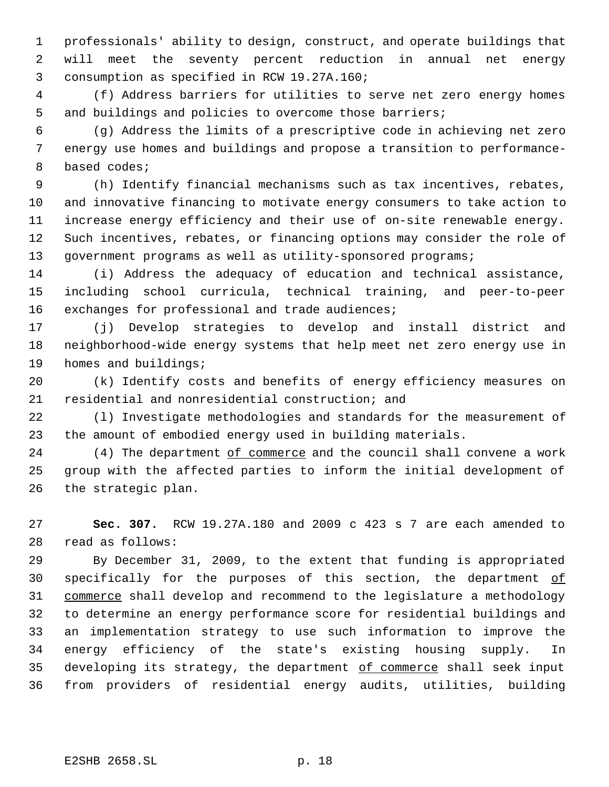professionals' ability to design, construct, and operate buildings that will meet the seventy percent reduction in annual net energy consumption as specified in RCW 19.27A.160;

 (f) Address barriers for utilities to serve net zero energy homes and buildings and policies to overcome those barriers;

 (g) Address the limits of a prescriptive code in achieving net zero energy use homes and buildings and propose a transition to performance- based codes;

 (h) Identify financial mechanisms such as tax incentives, rebates, and innovative financing to motivate energy consumers to take action to increase energy efficiency and their use of on-site renewable energy. Such incentives, rebates, or financing options may consider the role of 13 government programs as well as utility-sponsored programs;

 (i) Address the adequacy of education and technical assistance, including school curricula, technical training, and peer-to-peer exchanges for professional and trade audiences;

 (j) Develop strategies to develop and install district and neighborhood-wide energy systems that help meet net zero energy use in homes and buildings;

 (k) Identify costs and benefits of energy efficiency measures on residential and nonresidential construction; and

 (l) Investigate methodologies and standards for the measurement of the amount of embodied energy used in building materials.

24 (4) The department of commerce and the council shall convene a work group with the affected parties to inform the initial development of the strategic plan.

 **Sec. 307.** RCW 19.27A.180 and 2009 c 423 s 7 are each amended to read as follows:

 By December 31, 2009, to the extent that funding is appropriated 30 specifically for the purposes of this section, the department of commerce shall develop and recommend to the legislature a methodology to determine an energy performance score for residential buildings and an implementation strategy to use such information to improve the energy efficiency of the state's existing housing supply. In developing its strategy, the department of commerce shall seek input from providers of residential energy audits, utilities, building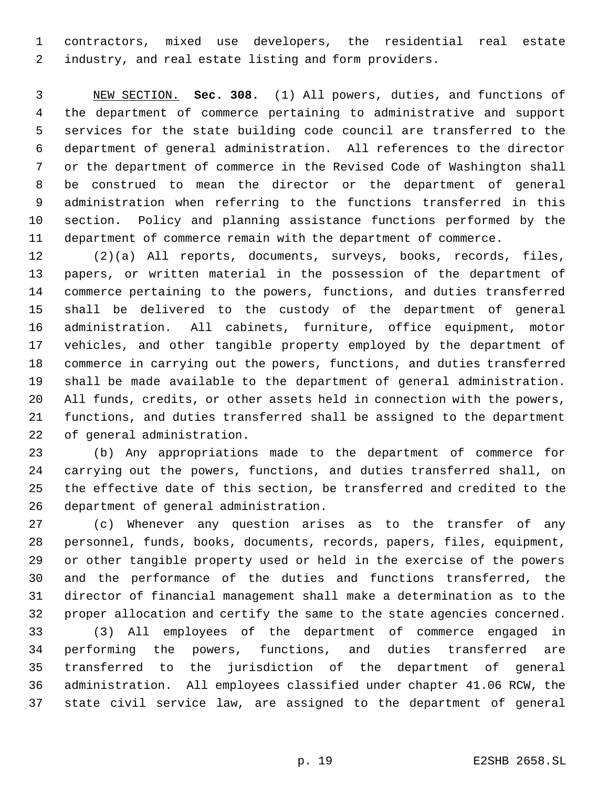contractors, mixed use developers, the residential real estate industry, and real estate listing and form providers.

 NEW SECTION. **Sec. 308.** (1) All powers, duties, and functions of the department of commerce pertaining to administrative and support services for the state building code council are transferred to the department of general administration. All references to the director or the department of commerce in the Revised Code of Washington shall be construed to mean the director or the department of general administration when referring to the functions transferred in this section. Policy and planning assistance functions performed by the department of commerce remain with the department of commerce.

 (2)(a) All reports, documents, surveys, books, records, files, papers, or written material in the possession of the department of commerce pertaining to the powers, functions, and duties transferred shall be delivered to the custody of the department of general administration. All cabinets, furniture, office equipment, motor vehicles, and other tangible property employed by the department of commerce in carrying out the powers, functions, and duties transferred shall be made available to the department of general administration. All funds, credits, or other assets held in connection with the powers, functions, and duties transferred shall be assigned to the department of general administration.

 (b) Any appropriations made to the department of commerce for carrying out the powers, functions, and duties transferred shall, on the effective date of this section, be transferred and credited to the department of general administration.

 (c) Whenever any question arises as to the transfer of any personnel, funds, books, documents, records, papers, files, equipment, or other tangible property used or held in the exercise of the powers and the performance of the duties and functions transferred, the director of financial management shall make a determination as to the proper allocation and certify the same to the state agencies concerned.

 (3) All employees of the department of commerce engaged in performing the powers, functions, and duties transferred are transferred to the jurisdiction of the department of general administration. All employees classified under chapter 41.06 RCW, the state civil service law, are assigned to the department of general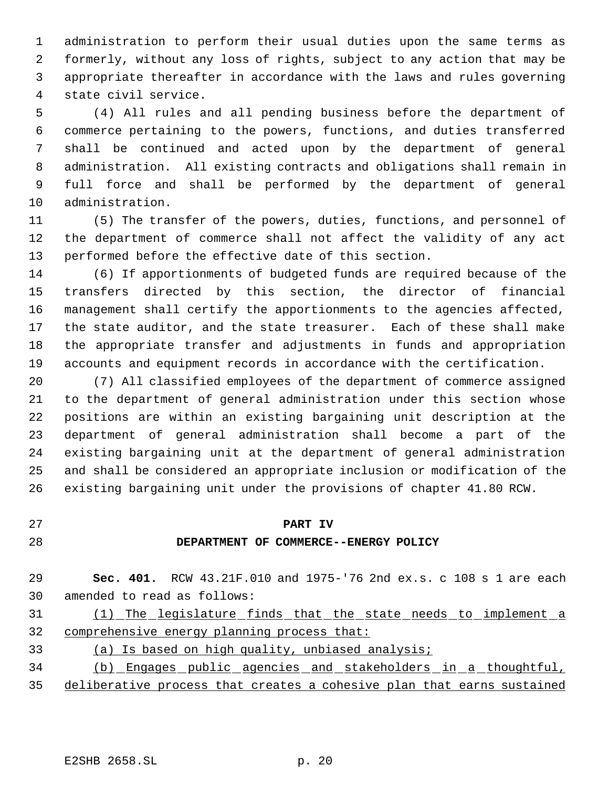administration to perform their usual duties upon the same terms as formerly, without any loss of rights, subject to any action that may be appropriate thereafter in accordance with the laws and rules governing state civil service.

 (4) All rules and all pending business before the department of commerce pertaining to the powers, functions, and duties transferred shall be continued and acted upon by the department of general administration. All existing contracts and obligations shall remain in full force and shall be performed by the department of general administration.

 (5) The transfer of the powers, duties, functions, and personnel of the department of commerce shall not affect the validity of any act performed before the effective date of this section.

 (6) If apportionments of budgeted funds are required because of the transfers directed by this section, the director of financial management shall certify the apportionments to the agencies affected, the state auditor, and the state treasurer. Each of these shall make the appropriate transfer and adjustments in funds and appropriation accounts and equipment records in accordance with the certification.

 (7) All classified employees of the department of commerce assigned to the department of general administration under this section whose positions are within an existing bargaining unit description at the department of general administration shall become a part of the existing bargaining unit at the department of general administration and shall be considered an appropriate inclusion or modification of the existing bargaining unit under the provisions of chapter 41.80 RCW.

#### **PART IV**

#### **DEPARTMENT OF COMMERCE--ENERGY POLICY**

 **Sec. 401.** RCW 43.21F.010 and 1975-'76 2nd ex.s. c 108 s 1 are each amended to read as follows:

 (1) The legislature finds that the state needs to implement a 32 comprehensive energy planning process that:

 (a) Is based on high quality, unbiased analysis; (b) Engages public agencies and stakeholders in a thoughtful, deliberative process that creates a cohesive plan that earns sustained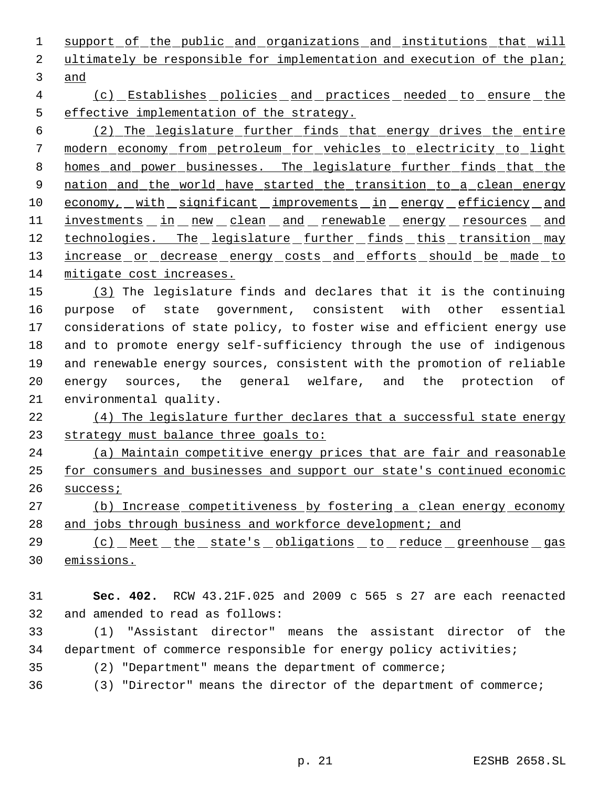1 support of the public and organizations and institutions that will ultimately be responsible for implementation and execution of the plan; and

 (c) Establishes policies and practices needed to ensure the effective implementation of the strategy.

 (2) The legislature further finds that energy drives the entire modern economy from petroleum for vehicles to electricity to light 8 homes and power businesses. The legislature further finds that the 9 nation and the world have started the transition to a clean energy 10 economy, with significant improvements in energy efficiency and 11 investments in new clean and renewable energy resources and 12 technologies. The legislature further finds this transition may 13 increase or decrease energy costs and efforts should be made to mitigate cost increases.

 (3) The legislature finds and declares that it is the continuing purpose of state government, consistent with other essential considerations of state policy, to foster wise and efficient energy use and to promote energy self-sufficiency through the use of indigenous and renewable energy sources, consistent with the promotion of reliable energy sources, the general welfare, and the protection of environmental quality.

 (4) The legislature further declares that a successful state energy strategy must balance three goals to:

 (a) Maintain competitive energy prices that are fair and reasonable for consumers and businesses and support our state's continued economic success;

 (b) Increase competitiveness by fostering a clean energy economy 28 and jobs through business and workforce development; and

29 (c) Meet the state's obligations to reduce greenhouse gas emissions.

 **Sec. 402.** RCW 43.21F.025 and 2009 c 565 s 27 are each reenacted and amended to read as follows:

 (1) "Assistant director" means the assistant director of the department of commerce responsible for energy policy activities;

- (2) "Department" means the department of commerce;
- (3) "Director" means the director of the department of commerce;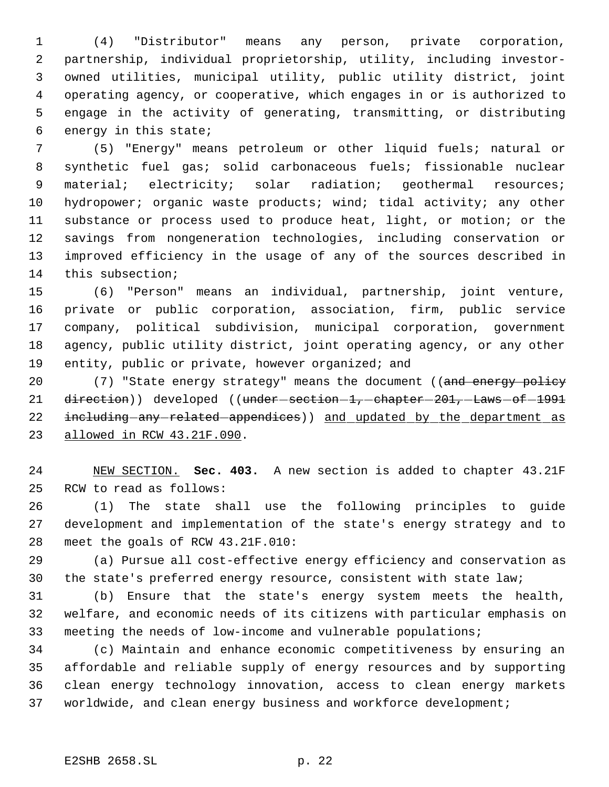(4) "Distributor" means any person, private corporation, partnership, individual proprietorship, utility, including investor- owned utilities, municipal utility, public utility district, joint operating agency, or cooperative, which engages in or is authorized to engage in the activity of generating, transmitting, or distributing energy in this state;

 (5) "Energy" means petroleum or other liquid fuels; natural or synthetic fuel gas; solid carbonaceous fuels; fissionable nuclear 9 material; electricity; solar radiation; geothermal resources; hydropower; organic waste products; wind; tidal activity; any other substance or process used to produce heat, light, or motion; or the savings from nongeneration technologies, including conservation or improved efficiency in the usage of any of the sources described in this subsection;

 (6) "Person" means an individual, partnership, joint venture, private or public corporation, association, firm, public service company, political subdivision, municipal corporation, government agency, public utility district, joint operating agency, or any other entity, public or private, however organized; and

20 (7) "State energy strategy" means the document ((and energy policy 21 direction)) developed ((under-section-1,-chapter-201,-Laws-of-1991 22 including any related appendices) and updated by the department as allowed in RCW 43.21F.090.

 NEW SECTION. **Sec. 403.** A new section is added to chapter 43.21F RCW to read as follows:

 (1) The state shall use the following principles to guide development and implementation of the state's energy strategy and to meet the goals of RCW 43.21F.010:

 (a) Pursue all cost-effective energy efficiency and conservation as the state's preferred energy resource, consistent with state law;

 (b) Ensure that the state's energy system meets the health, welfare, and economic needs of its citizens with particular emphasis on meeting the needs of low-income and vulnerable populations;

 (c) Maintain and enhance economic competitiveness by ensuring an affordable and reliable supply of energy resources and by supporting clean energy technology innovation, access to clean energy markets worldwide, and clean energy business and workforce development;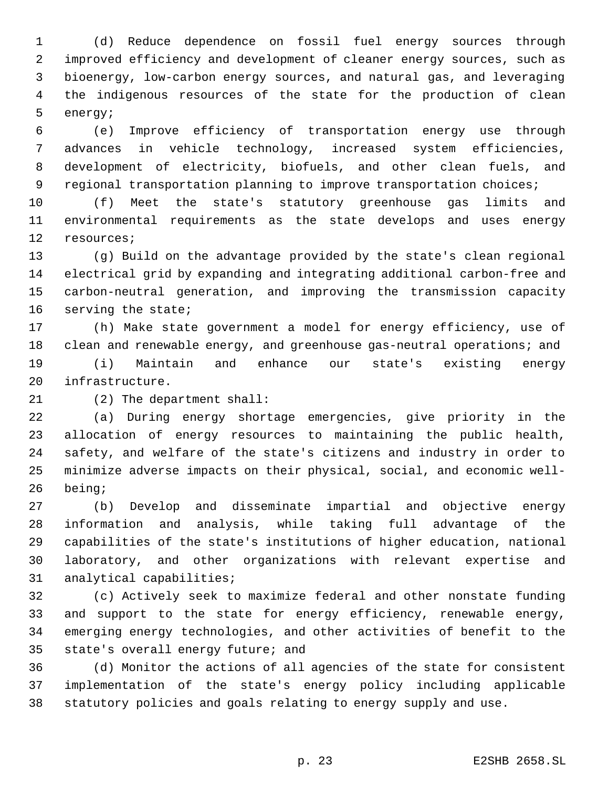(d) Reduce dependence on fossil fuel energy sources through improved efficiency and development of cleaner energy sources, such as bioenergy, low-carbon energy sources, and natural gas, and leveraging the indigenous resources of the state for the production of clean energy;

 (e) Improve efficiency of transportation energy use through advances in vehicle technology, increased system efficiencies, development of electricity, biofuels, and other clean fuels, and regional transportation planning to improve transportation choices;

 (f) Meet the state's statutory greenhouse gas limits and environmental requirements as the state develops and uses energy resources;

 (g) Build on the advantage provided by the state's clean regional electrical grid by expanding and integrating additional carbon-free and carbon-neutral generation, and improving the transmission capacity serving the state;

 (h) Make state government a model for energy efficiency, use of clean and renewable energy, and greenhouse gas-neutral operations; and (i) Maintain and enhance our state's existing energy infrastructure.

(2) The department shall:

 (a) During energy shortage emergencies, give priority in the allocation of energy resources to maintaining the public health, safety, and welfare of the state's citizens and industry in order to minimize adverse impacts on their physical, social, and economic well-being;

 (b) Develop and disseminate impartial and objective energy information and analysis, while taking full advantage of the capabilities of the state's institutions of higher education, national laboratory, and other organizations with relevant expertise and analytical capabilities;

 (c) Actively seek to maximize federal and other nonstate funding and support to the state for energy efficiency, renewable energy, emerging energy technologies, and other activities of benefit to the state's overall energy future; and

 (d) Monitor the actions of all agencies of the state for consistent implementation of the state's energy policy including applicable statutory policies and goals relating to energy supply and use.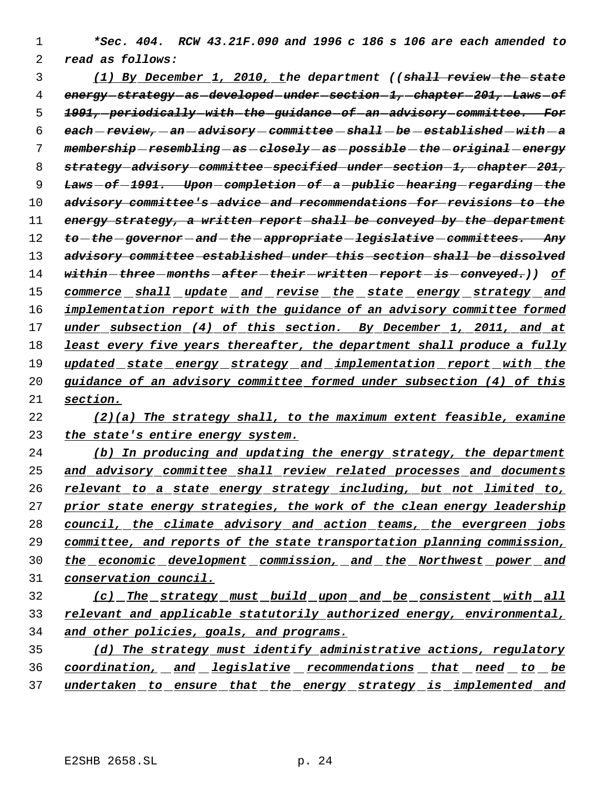*\*Sec. 404. RCW 43.21F.090 and 1996 c 186 s 106 are each amended to read as follows:*

 *(1) By December 1, 2010, the department ((shall review the state energy strategy as developed under section 1, chapter 201, Laws of 1991, periodically with the guidance of an advisory committee. For each review, an advisory committee shall be established with a membership resembling as closely as possible the original energy strategy advisory committee specified under section 1, chapter 201, Laws of 1991. Upon completion of a public hearing regarding the advisory committee's advice and recommendations for revisions to the energy strategy, a written report shall be conveyed by the department to the governor and the appropriate legislative committees. Any advisory committee established under this section shall be dissolved within three months after their written report is conveyed.)) of commerce shall update and revise the state energy strategy and implementation report with the guidance of an advisory committee formed under subsection (4) of this section. By December 1, 2011, and at least every five years thereafter, the department shall produce a fully updated state energy strategy and implementation report with the guidance of an advisory committee formed under subsection (4) of this section.*

 *(2)(a) The strategy shall, to the maximum extent feasible, examine the state's entire energy system.*

 *(b) In producing and updating the energy strategy, the department and advisory committee shall review related processes and documents relevant to a state energy strategy including, but not limited to, prior state energy strategies, the work of the clean energy leadership council, the climate advisory and action teams, the evergreen jobs committee, and reports of the state transportation planning commission, the economic development commission, and the Northwest power and conservation council.*

 *(c) The strategy must build upon and be consistent with all relevant and applicable statutorily authorized energy, environmental, and other policies, goals, and programs.*

 *(d) The strategy must identify administrative actions, regulatory coordination, and legislative recommendations that need to be undertaken to ensure that the energy strategy is implemented and*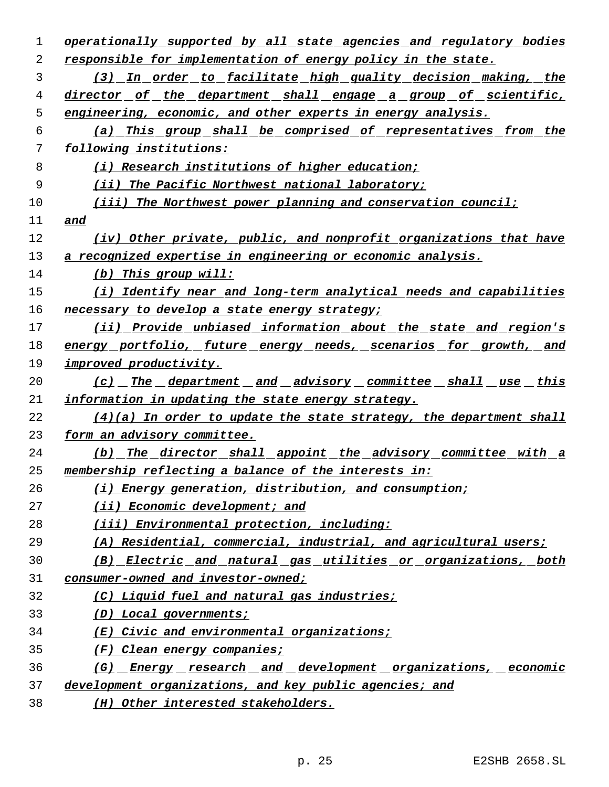| 1  | operationally supported by all state agencies and regulatory bodies  |
|----|----------------------------------------------------------------------|
| 2  | responsible for implementation of energy policy in the state.        |
| 3  | (3) In order to facilitate high quality decision making, the         |
| 4  | director of the department shall engage a group of scientific,       |
| 5  | engineering, economic, and other experts in energy analysis.         |
| 6  | (a) This group shall be comprised of representatives from the        |
| 7  | following institutions:                                              |
| 8  | (i) Research institutions of higher education;                       |
| 9  | (ii) The Pacific Northwest national laboratory;                      |
| 10 | (iii) The Northwest power planning and conservation council;         |
| 11 | and                                                                  |
| 12 | (iv) Other private, public, and nonprofit organizations that have    |
| 13 | a recognized expertise in engineering or economic analysis.          |
| 14 | $(b)$ This group will:                                               |
| 15 | (i) Identify near and long-term analytical needs and capabilities    |
| 16 | necessary to develop a state energy strategy;                        |
| 17 | (ii) Provide unbiased information about the state and region's       |
| 18 | energy portfolio, future energy needs, scenarios for growth, and     |
| 19 | improved productivity.                                               |
| 20 | <u>(c) The department and advisory committee shall use this</u>      |
| 21 | information in updating the state energy strategy.                   |
| 22 | $(4)(a)$ In order to update the state strategy, the department shall |
| 23 | form an advisory committee.                                          |
| 24 | (b) The director shall appoint the advisory committee with a         |
| 25 | membership reflecting a balance of the interests in:                 |
| 26 | (i) Energy generation, distribution, and consumption;                |
| 27 | (ii) Economic development; and                                       |
| 28 | (iii) Environmental protection, including:                           |
| 29 | (A) Residential, commercial, industrial, and agricultural users;     |
| 30 | (B) Electric and natural gas utilities or organizations, both        |
| 31 | consumer-owned and investor-owned;                                   |
| 32 | (C) Liquid fuel and natural gas industries;                          |
| 33 | (D) Local governments;                                               |
| 34 | $(E)$ Civic and environmental organizations;                         |
| 35 | (F) Clean energy companies;                                          |
| 36 | (G) Energy research and development organizations, economic          |
| 37 | development organizations, and key public agencies; and              |
| 38 | (H) Other interested stakeholders.                                   |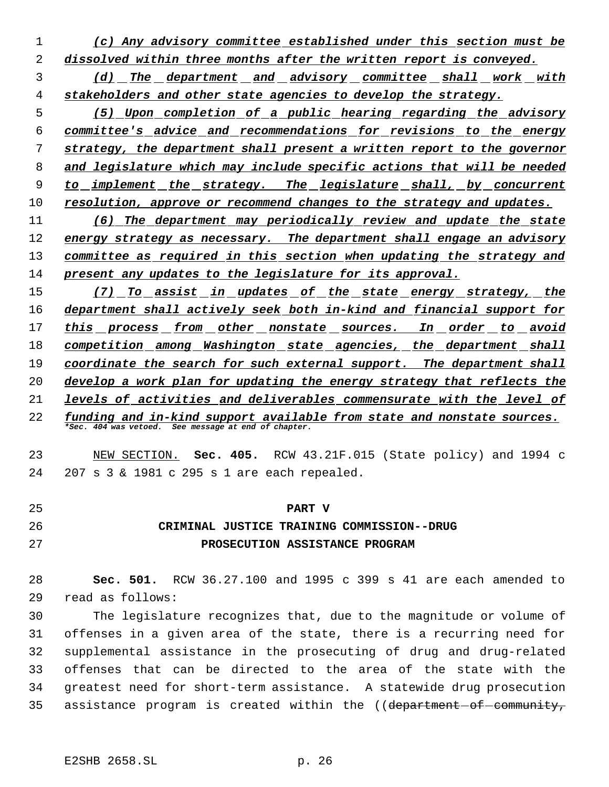- *(c) Any advisory committee established under this section must be dissolved within three months after the written report is conveyed.*
- *(d) The department and advisory committee shall work with stakeholders and other state agencies to develop the strategy.*
- *(5) Upon completion of a public hearing regarding the advisory committee's advice and recommendations for revisions to the energy strategy, the department shall present a written report to the governor and legislature which may include specific actions that will be needed to implement the strategy. The legislature shall, by concurrent resolution, approve or recommend changes to the strategy and updates.*

 *(6) The department may periodically review and update the state energy strategy as necessary. The department shall engage an advisory committee as required in this section when updating the strategy and present any updates to the legislature for its approval.*

 *(7) To assist in updates of the state energy strategy, the department shall actively seek both in-kind and financial support for this process from other nonstate sources. In order to avoid competition among Washington state agencies, the department shall coordinate the search for such external support. The department shall develop a work plan for updating the energy strategy that reflects the levels of activities and deliverables commensurate with the level of funding and in-kind support available from state and nonstate sources.*

*\*Sec. 404 was vetoed. See message at end of chapter.*

 NEW SECTION. **Sec. 405.** RCW 43.21F.015 (State policy) and 1994 c 207 s 3 & 1981 c 295 s 1 are each repealed.

| -25 | <b>PART V</b>                              |
|-----|--------------------------------------------|
| -26 | CRIMINAL JUSTICE TRAINING COMMISSION--DRUG |
| -27 | PROSECUTION ASSISTANCE PROGRAM             |

 **Sec. 501.** RCW 36.27.100 and 1995 c 399 s 41 are each amended to read as follows:

 The legislature recognizes that, due to the magnitude or volume of offenses in a given area of the state, there is a recurring need for supplemental assistance in the prosecuting of drug and drug-related offenses that can be directed to the area of the state with the greatest need for short-term assistance. A statewide drug prosecution 35 assistance program is created within the ((department-of-community,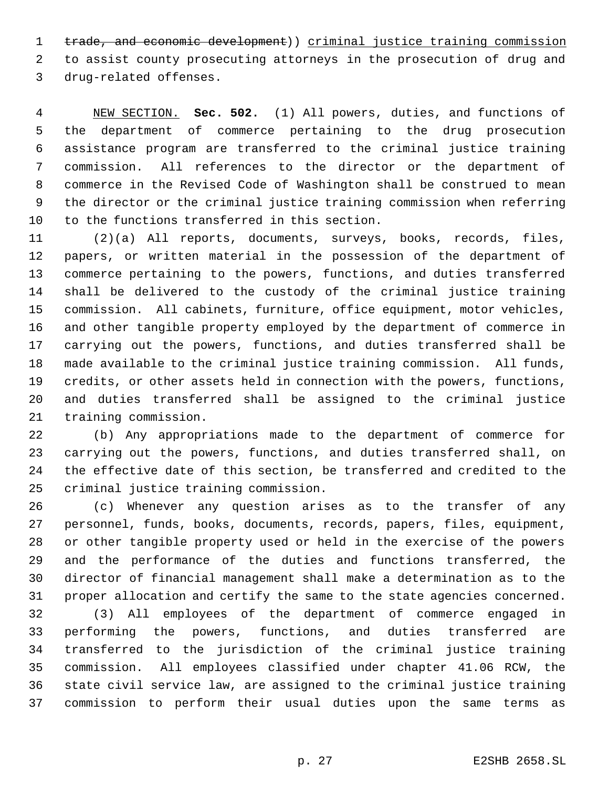1 trade, and economic development)) criminal justice training commission to assist county prosecuting attorneys in the prosecution of drug and drug-related offenses.

 NEW SECTION. **Sec. 502.** (1) All powers, duties, and functions of the department of commerce pertaining to the drug prosecution assistance program are transferred to the criminal justice training commission. All references to the director or the department of commerce in the Revised Code of Washington shall be construed to mean the director or the criminal justice training commission when referring to the functions transferred in this section.

 (2)(a) All reports, documents, surveys, books, records, files, papers, or written material in the possession of the department of commerce pertaining to the powers, functions, and duties transferred shall be delivered to the custody of the criminal justice training commission. All cabinets, furniture, office equipment, motor vehicles, and other tangible property employed by the department of commerce in carrying out the powers, functions, and duties transferred shall be made available to the criminal justice training commission. All funds, credits, or other assets held in connection with the powers, functions, and duties transferred shall be assigned to the criminal justice training commission.

 (b) Any appropriations made to the department of commerce for carrying out the powers, functions, and duties transferred shall, on the effective date of this section, be transferred and credited to the criminal justice training commission.

 (c) Whenever any question arises as to the transfer of any personnel, funds, books, documents, records, papers, files, equipment, or other tangible property used or held in the exercise of the powers and the performance of the duties and functions transferred, the director of financial management shall make a determination as to the proper allocation and certify the same to the state agencies concerned.

 (3) All employees of the department of commerce engaged in performing the powers, functions, and duties transferred are transferred to the jurisdiction of the criminal justice training commission. All employees classified under chapter 41.06 RCW, the state civil service law, are assigned to the criminal justice training commission to perform their usual duties upon the same terms as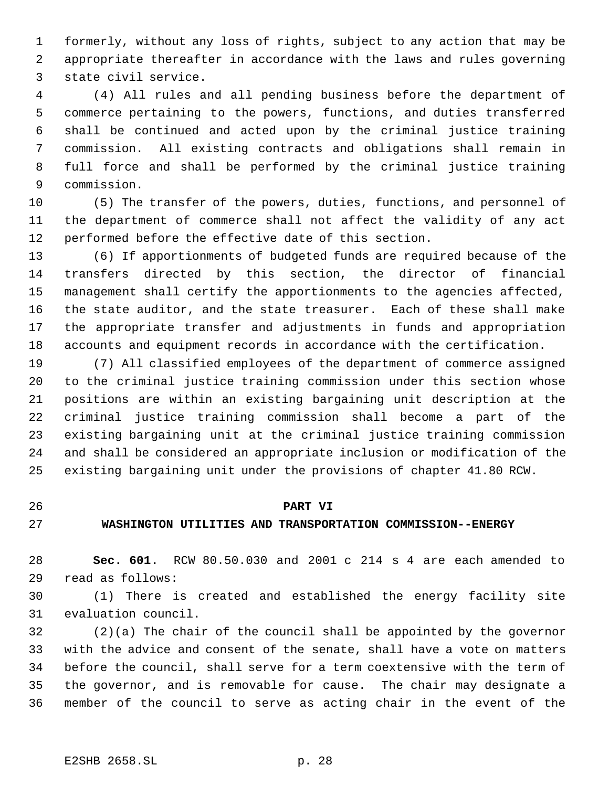formerly, without any loss of rights, subject to any action that may be appropriate thereafter in accordance with the laws and rules governing state civil service.

 (4) All rules and all pending business before the department of commerce pertaining to the powers, functions, and duties transferred shall be continued and acted upon by the criminal justice training commission. All existing contracts and obligations shall remain in full force and shall be performed by the criminal justice training commission.

 (5) The transfer of the powers, duties, functions, and personnel of the department of commerce shall not affect the validity of any act performed before the effective date of this section.

 (6) If apportionments of budgeted funds are required because of the transfers directed by this section, the director of financial management shall certify the apportionments to the agencies affected, the state auditor, and the state treasurer. Each of these shall make the appropriate transfer and adjustments in funds and appropriation accounts and equipment records in accordance with the certification.

 (7) All classified employees of the department of commerce assigned to the criminal justice training commission under this section whose positions are within an existing bargaining unit description at the criminal justice training commission shall become a part of the existing bargaining unit at the criminal justice training commission and shall be considered an appropriate inclusion or modification of the existing bargaining unit under the provisions of chapter 41.80 RCW.

#### **PART VI**

### **WASHINGTON UTILITIES AND TRANSPORTATION COMMISSION--ENERGY**

 **Sec. 601.** RCW 80.50.030 and 2001 c 214 s 4 are each amended to read as follows:

 (1) There is created and established the energy facility site evaluation council.

 (2)(a) The chair of the council shall be appointed by the governor with the advice and consent of the senate, shall have a vote on matters before the council, shall serve for a term coextensive with the term of the governor, and is removable for cause. The chair may designate a member of the council to serve as acting chair in the event of the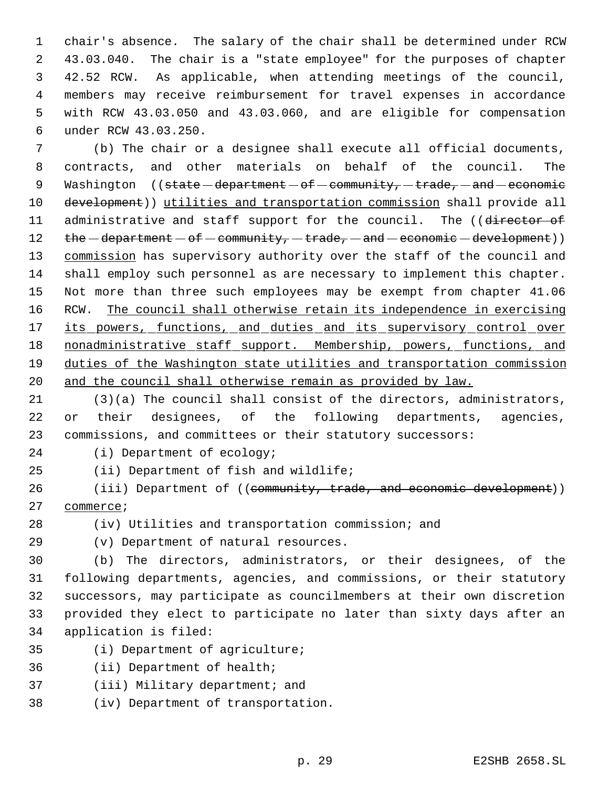chair's absence. The salary of the chair shall be determined under RCW 43.03.040. The chair is a "state employee" for the purposes of chapter 42.52 RCW. As applicable, when attending meetings of the council, members may receive reimbursement for travel expenses in accordance with RCW 43.03.050 and 43.03.060, and are eligible for compensation under RCW 43.03.250.

 (b) The chair or a designee shall execute all official documents, contracts, and other materials on behalf of the council. The 9 Washington  $($  (state - department - of - community, - trade, - and - economic development)) utilities and transportation commission shall provide all 11 administrative and staff support for the council. The ((director of  $the$  department  $-$  of  $-$  community,  $-$  trade,  $-$  and  $-$  economic  $-$  development)) 13 commission has supervisory authority over the staff of the council and shall employ such personnel as are necessary to implement this chapter. Not more than three such employees may be exempt from chapter 41.06 RCW. The council shall otherwise retain its independence in exercising 17 its powers, functions, and duties and its supervisory control over 18 nonadministrative staff support. Membership, powers, functions, and duties of the Washington state utilities and transportation commission and the council shall otherwise remain as provided by law.

 (3)(a) The council shall consist of the directors, administrators, 22 or their designees, of the following departments, agencies, commissions, and committees or their statutory successors:

(i) Department of ecology;

(ii) Department of fish and wildlife;

26 (iii) Department of ((community, trade, and economic development)) 27 commerce;

(iv) Utilities and transportation commission; and

(v) Department of natural resources.

 (b) The directors, administrators, or their designees, of the following departments, agencies, and commissions, or their statutory successors, may participate as councilmembers at their own discretion provided they elect to participate no later than sixty days after an application is filed:

- (i) Department of agriculture;
- (ii) Department of health;
- (iii) Military department; and
- (iv) Department of transportation.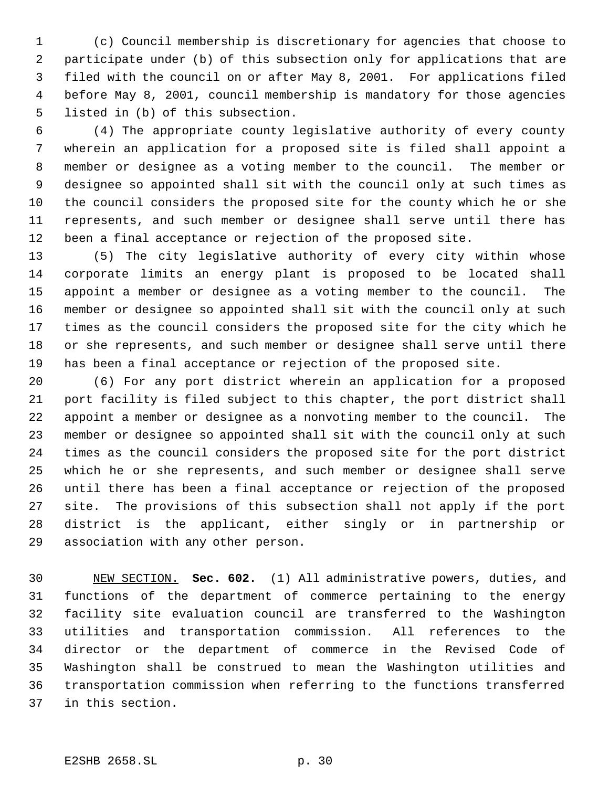(c) Council membership is discretionary for agencies that choose to participate under (b) of this subsection only for applications that are filed with the council on or after May 8, 2001. For applications filed before May 8, 2001, council membership is mandatory for those agencies listed in (b) of this subsection.

 (4) The appropriate county legislative authority of every county wherein an application for a proposed site is filed shall appoint a member or designee as a voting member to the council. The member or designee so appointed shall sit with the council only at such times as the council considers the proposed site for the county which he or she represents, and such member or designee shall serve until there has been a final acceptance or rejection of the proposed site.

 (5) The city legislative authority of every city within whose corporate limits an energy plant is proposed to be located shall appoint a member or designee as a voting member to the council. The member or designee so appointed shall sit with the council only at such times as the council considers the proposed site for the city which he or she represents, and such member or designee shall serve until there has been a final acceptance or rejection of the proposed site.

 (6) For any port district wherein an application for a proposed port facility is filed subject to this chapter, the port district shall appoint a member or designee as a nonvoting member to the council. The member or designee so appointed shall sit with the council only at such times as the council considers the proposed site for the port district which he or she represents, and such member or designee shall serve until there has been a final acceptance or rejection of the proposed site. The provisions of this subsection shall not apply if the port district is the applicant, either singly or in partnership or association with any other person.

 NEW SECTION. **Sec. 602.** (1) All administrative powers, duties, and functions of the department of commerce pertaining to the energy facility site evaluation council are transferred to the Washington utilities and transportation commission. All references to the director or the department of commerce in the Revised Code of Washington shall be construed to mean the Washington utilities and transportation commission when referring to the functions transferred in this section.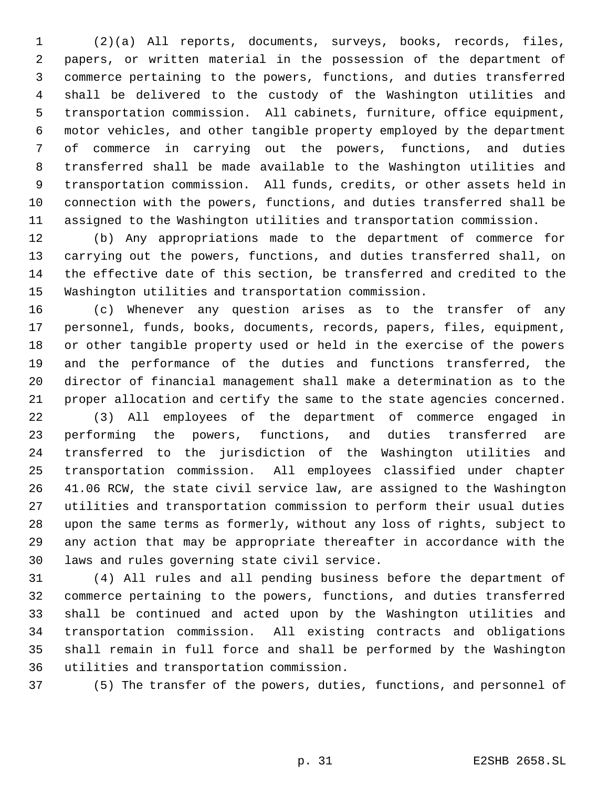(2)(a) All reports, documents, surveys, books, records, files, papers, or written material in the possession of the department of commerce pertaining to the powers, functions, and duties transferred shall be delivered to the custody of the Washington utilities and transportation commission. All cabinets, furniture, office equipment, motor vehicles, and other tangible property employed by the department of commerce in carrying out the powers, functions, and duties transferred shall be made available to the Washington utilities and transportation commission. All funds, credits, or other assets held in connection with the powers, functions, and duties transferred shall be assigned to the Washington utilities and transportation commission.

 (b) Any appropriations made to the department of commerce for carrying out the powers, functions, and duties transferred shall, on the effective date of this section, be transferred and credited to the Washington utilities and transportation commission.

 (c) Whenever any question arises as to the transfer of any personnel, funds, books, documents, records, papers, files, equipment, or other tangible property used or held in the exercise of the powers and the performance of the duties and functions transferred, the director of financial management shall make a determination as to the proper allocation and certify the same to the state agencies concerned.

 (3) All employees of the department of commerce engaged in performing the powers, functions, and duties transferred are transferred to the jurisdiction of the Washington utilities and transportation commission. All employees classified under chapter 41.06 RCW, the state civil service law, are assigned to the Washington utilities and transportation commission to perform their usual duties upon the same terms as formerly, without any loss of rights, subject to any action that may be appropriate thereafter in accordance with the laws and rules governing state civil service.

 (4) All rules and all pending business before the department of commerce pertaining to the powers, functions, and duties transferred shall be continued and acted upon by the Washington utilities and transportation commission. All existing contracts and obligations shall remain in full force and shall be performed by the Washington utilities and transportation commission.

(5) The transfer of the powers, duties, functions, and personnel of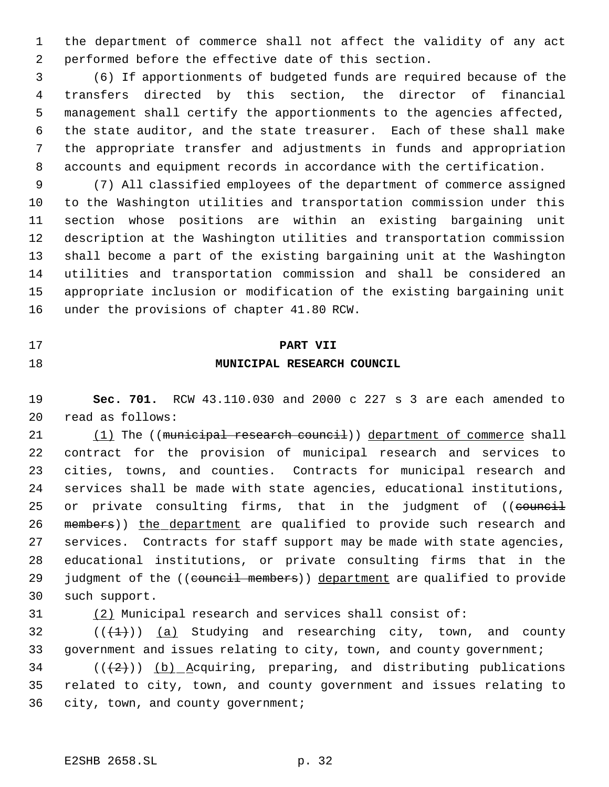the department of commerce shall not affect the validity of any act performed before the effective date of this section.

 (6) If apportionments of budgeted funds are required because of the transfers directed by this section, the director of financial management shall certify the apportionments to the agencies affected, the state auditor, and the state treasurer. Each of these shall make the appropriate transfer and adjustments in funds and appropriation accounts and equipment records in accordance with the certification.

 (7) All classified employees of the department of commerce assigned to the Washington utilities and transportation commission under this section whose positions are within an existing bargaining unit description at the Washington utilities and transportation commission shall become a part of the existing bargaining unit at the Washington utilities and transportation commission and shall be considered an appropriate inclusion or modification of the existing bargaining unit under the provisions of chapter 41.80 RCW.

#### **PART VII**

### **MUNICIPAL RESEARCH COUNCIL**

 **Sec. 701.** RCW 43.110.030 and 2000 c 227 s 3 are each amended to read as follows:

21 (1) The ((municipal research council)) department of commerce shall contract for the provision of municipal research and services to cities, towns, and counties. Contracts for municipal research and services shall be made with state agencies, educational institutions, 25 or private consulting firms, that in the judgment of ((council 26 members)) the department are qualified to provide such research and services. Contracts for staff support may be made with state agencies, educational institutions, or private consulting firms that in the 29 judgment of the ((council members)) department are qualified to provide such support.

(2) Municipal research and services shall consist of:

32  $((+1))$  (a) Studying and researching city, town, and county 33 government and issues relating to city, town, and county government;

 (( $(2)$ )) (b) Acquiring, preparing, and distributing publications related to city, town, and county government and issues relating to city, town, and county government;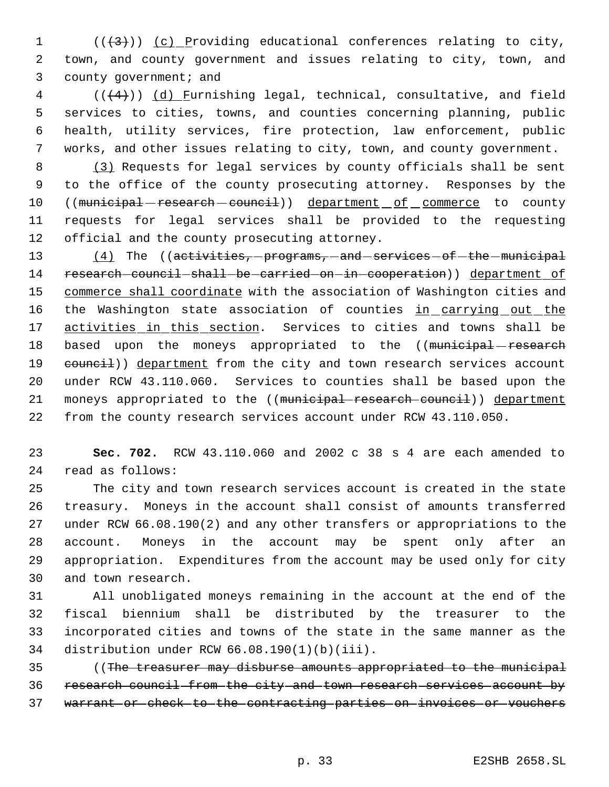(( $\left(43\right)$ )) <u>(c)</u> Providing educational conferences relating to city, town, and county government and issues relating to city, town, and 3 county government; and

 (( $(4)$ )) <u>(d) Furnishing legal</u>, technical, consultative, and field services to cities, towns, and counties concerning planning, public health, utility services, fire protection, law enforcement, public works, and other issues relating to city, town, and county government.

8 (3) Requests for legal services by county officials shall be sent to the office of the county prosecuting attorney. Responses by the 10 ((municipal - research - council)) department of commerce to county requests for legal services shall be provided to the requesting official and the county prosecuting attorney.

13 (4) The ((activities, programs, and services of the municipal 14 research-council-shall-be-carried-on-in-cooperation)) department of 15 commerce shall coordinate with the association of Washington cities and 16 the Washington state association of counties in carrying out the 17 activities in this section. Services to cities and towns shall be 18 based upon the moneys appropriated to the ((municipal-research 19 council)) department from the city and town research services account under RCW 43.110.060. Services to counties shall be based upon the 21 moneys appropriated to the ((municipal research council)) department from the county research services account under RCW 43.110.050.

 **Sec. 702.** RCW 43.110.060 and 2002 c 38 s 4 are each amended to read as follows:

 The city and town research services account is created in the state treasury. Moneys in the account shall consist of amounts transferred under RCW 66.08.190(2) and any other transfers or appropriations to the account. Moneys in the account may be spent only after an appropriation. Expenditures from the account may be used only for city and town research.

 All unobligated moneys remaining in the account at the end of the fiscal biennium shall be distributed by the treasurer to the incorporated cities and towns of the state in the same manner as the distribution under RCW 66.08.190(1)(b)(iii).

 ((The treasurer may disburse amounts appropriated to the municipal research council from the city and town research services account by warrant or check to the contracting parties on invoices or vouchers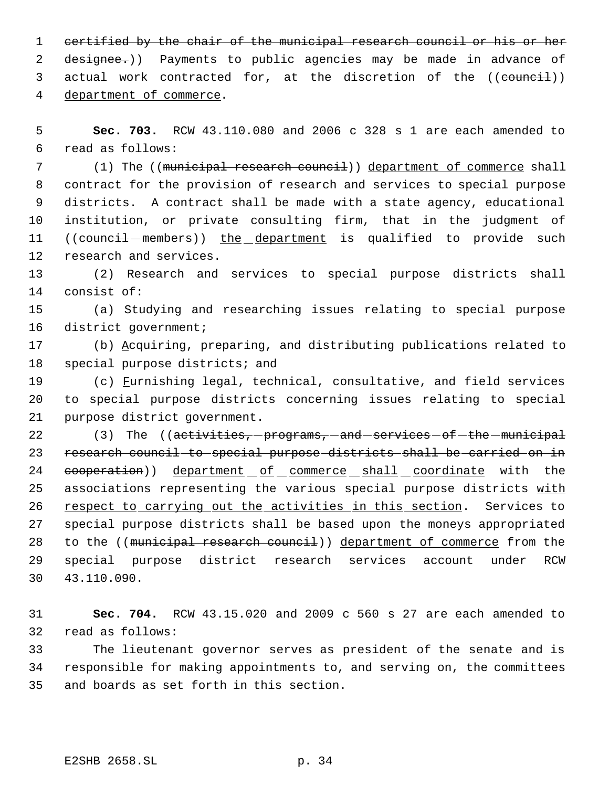1 certified by the chair of the municipal research council or his or her 2 designee.)) Payments to public agencies may be made in advance of 3 actual work contracted for, at the discretion of the ((council)) department of commerce.

 **Sec. 703.** RCW 43.110.080 and 2006 c 328 s 1 are each amended to read as follows:

 (1) The ((municipal research council)) department of commerce shall contract for the provision of research and services to special purpose districts. A contract shall be made with a state agency, educational institution, or private consulting firm, that in the judgment of 11 ((council members)) the department is qualified to provide such research and services.

 (2) Research and services to special purpose districts shall consist of:

 (a) Studying and researching issues relating to special purpose district government;

 (b) Acquiring, preparing, and distributing publications related to special purpose districts; and

19 (c) Furnishing legal, technical, consultative, and field services to special purpose districts concerning issues relating to special purpose district government.

22 (3) The ((activities, programs, and services of the municipal research council to special purpose districts shall be carried on in 24 cooperation)) department of commerce shall coordinate with the 25 associations representing the various special purpose districts with 26 respect to carrying out the activities in this section. Services to special purpose districts shall be based upon the moneys appropriated 28 to the ((municipal research council)) department of commerce from the special purpose district research services account under RCW 43.110.090.

 **Sec. 704.** RCW 43.15.020 and 2009 c 560 s 27 are each amended to read as follows:

 The lieutenant governor serves as president of the senate and is responsible for making appointments to, and serving on, the committees and boards as set forth in this section.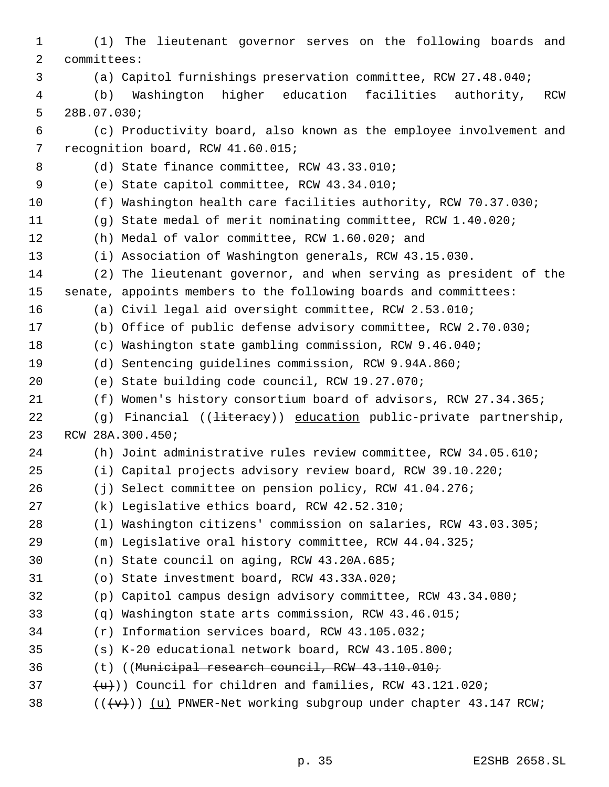(1) The lieutenant governor serves on the following boards and committees: (a) Capitol furnishings preservation committee, RCW 27.48.040; (b) Washington higher education facilities authority, RCW 28B.07.030; (c) Productivity board, also known as the employee involvement and recognition board, RCW 41.60.015; 8 (d) State finance committee, RCW 43.33.010; (e) State capitol committee, RCW 43.34.010; (f) Washington health care facilities authority, RCW 70.37.030; (g) State medal of merit nominating committee, RCW 1.40.020; (h) Medal of valor committee, RCW 1.60.020; and (i) Association of Washington generals, RCW 43.15.030. (2) The lieutenant governor, and when serving as president of the senate, appoints members to the following boards and committees: (a) Civil legal aid oversight committee, RCW 2.53.010; (b) Office of public defense advisory committee, RCW 2.70.030; (c) Washington state gambling commission, RCW 9.46.040; (d) Sentencing guidelines commission, RCW 9.94A.860; (e) State building code council, RCW 19.27.070; (f) Women's history consortium board of advisors, RCW 27.34.365; 22 (g) Financial ((<del>literacy</del>)) education public-private partnership, RCW 28A.300.450; (h) Joint administrative rules review committee, RCW 34.05.610; (i) Capital projects advisory review board, RCW 39.10.220; (j) Select committee on pension policy, RCW 41.04.276; (k) Legislative ethics board, RCW 42.52.310; (l) Washington citizens' commission on salaries, RCW 43.03.305; (m) Legislative oral history committee, RCW 44.04.325; (n) State council on aging, RCW 43.20A.685; (o) State investment board, RCW 43.33A.020; (p) Capitol campus design advisory committee, RCW 43.34.080; (q) Washington state arts commission, RCW 43.46.015; (r) Information services board, RCW 43.105.032; (s) K-20 educational network board, RCW 43.105.800; (t) ((Municipal research council, RCW 43.110.010;  $\{u\})$  Council for children and families, RCW 43.121.020; 38 ( $(\{\forall\})$ ) (u) PNWER-Net working subgroup under chapter 43.147 RCW;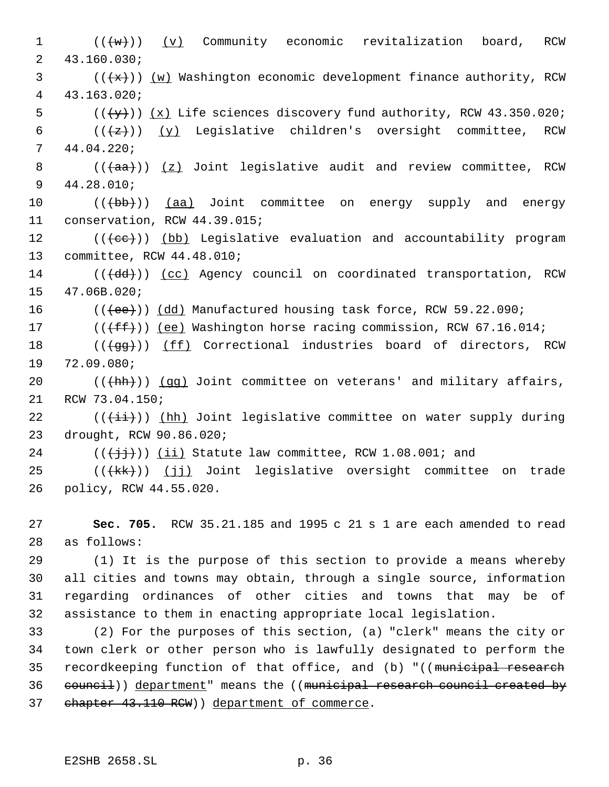1 (((w)) (v) Community economic revitalization board, RCW 43.160.030; (( $\{x\})$ ) (w) Washington economic development finance authority, RCW 43.163.020;  $((\{y\}))(x)$  Life sciences discovery fund authority, RCW 43.350.020;  $((+z))$   $(y)$  Legislative children's oversight committee, RCW 44.04.220; 8 (( $\frac{1}{(4a)}$ )) (z) Joint legislative audit and review committee, RCW 44.28.010; 10 (((bb))) (aa) Joint committee on energy supply and energy conservation, RCW 44.39.015; 12 ((((ee))) (bb) Legislative evaluation and accountability program committee, RCW 44.48.010; 14 (((dd))) (cc) Agency council on coordinated transportation, RCW 47.06B.020; 16 (((ee)) (dd) Manufactured housing task force, RCW 59.22.090; 17 (( $(fff)$ ) (ee) Washington horse racing commission, RCW 67.16.014; 18 (((gg))) (ff) Correctional industries board of directors, RCW 72.09.080;  $((+hh))$  (qq) Joint committee on veterans' and military affairs, RCW 73.04.150;  $((\overrightarrow{\pm}i))$  (hh) Joint legislative committee on water supply during drought, RCW 90.86.020;  $((\{\dagger\}\dagger))$  (ii) Statute law committee, RCW 1.08.001; and 25 (((kk)) (jj) Joint legislative oversight committee on trade policy, RCW 44.55.020. **Sec. 705.** RCW 35.21.185 and 1995 c 21 s 1 are each amended to read as follows: (1) It is the purpose of this section to provide a means whereby all cities and towns may obtain, through a single source, information regarding ordinances of other cities and towns that may be of assistance to them in enacting appropriate local legislation. (2) For the purposes of this section, (a) "clerk" means the city or

34 town clerk or other person who is lawfully designated to perform the 35 recordkeeping function of that office, and (b) "((municipal research 36 council)) department" means the ((municipal research council created by 37 chapter 43.110 RCW) department of commerce.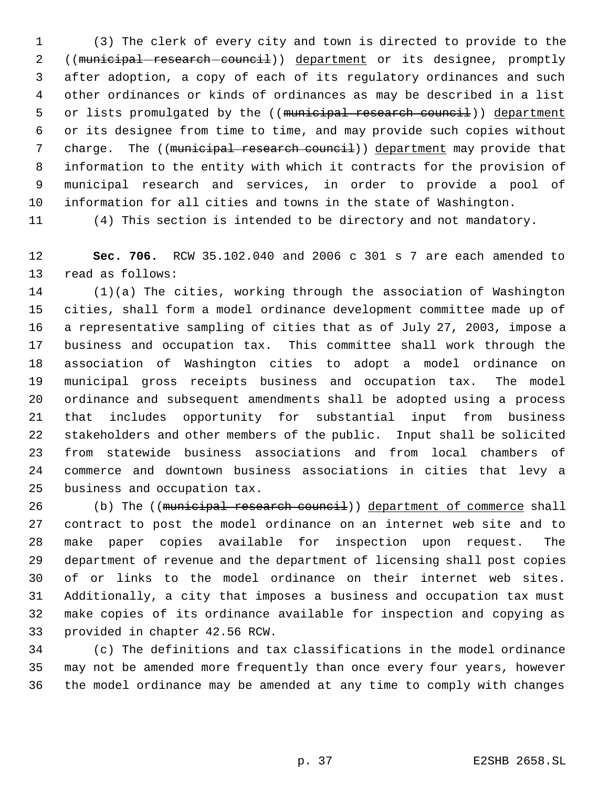(3) The clerk of every city and town is directed to provide to the 2 ((municipal-research-council)) department or its designee, promptly after adoption, a copy of each of its regulatory ordinances and such other ordinances or kinds of ordinances as may be described in a list 5 or lists promulgated by the ((municipal research council)) department or its designee from time to time, and may provide such copies without 7 charge. The ((municipal research council)) department may provide that information to the entity with which it contracts for the provision of municipal research and services, in order to provide a pool of information for all cities and towns in the state of Washington.

(4) This section is intended to be directory and not mandatory.

 **Sec. 706.** RCW 35.102.040 and 2006 c 301 s 7 are each amended to read as follows:

 (1)(a) The cities, working through the association of Washington cities, shall form a model ordinance development committee made up of a representative sampling of cities that as of July 27, 2003, impose a business and occupation tax. This committee shall work through the association of Washington cities to adopt a model ordinance on municipal gross receipts business and occupation tax. The model ordinance and subsequent amendments shall be adopted using a process that includes opportunity for substantial input from business stakeholders and other members of the public. Input shall be solicited from statewide business associations and from local chambers of commerce and downtown business associations in cities that levy a business and occupation tax.

26 (b) The ((municipal research council)) department of commerce shall contract to post the model ordinance on an internet web site and to make paper copies available for inspection upon request. The department of revenue and the department of licensing shall post copies of or links to the model ordinance on their internet web sites. Additionally, a city that imposes a business and occupation tax must make copies of its ordinance available for inspection and copying as provided in chapter 42.56 RCW.

 (c) The definitions and tax classifications in the model ordinance may not be amended more frequently than once every four years, however the model ordinance may be amended at any time to comply with changes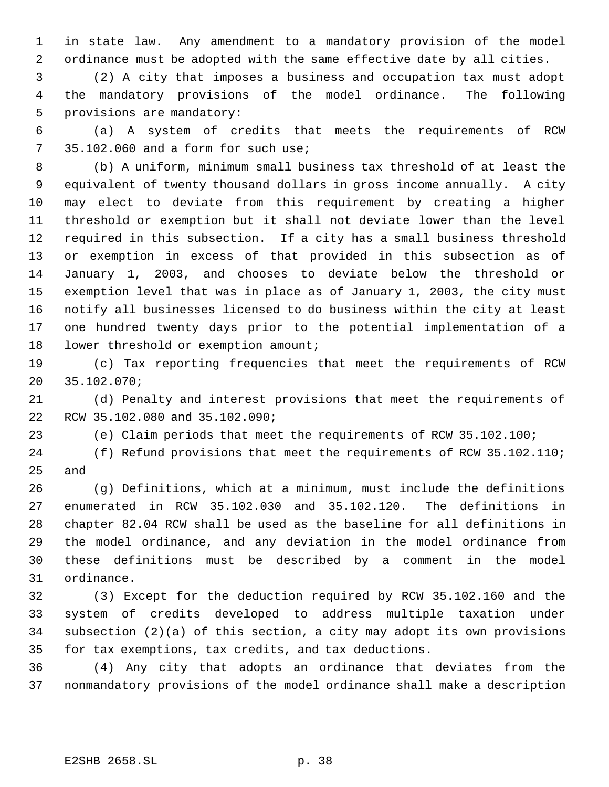in state law. Any amendment to a mandatory provision of the model ordinance must be adopted with the same effective date by all cities.

 (2) A city that imposes a business and occupation tax must adopt the mandatory provisions of the model ordinance. The following provisions are mandatory:

 (a) A system of credits that meets the requirements of RCW 35.102.060 and a form for such use;

 (b) A uniform, minimum small business tax threshold of at least the equivalent of twenty thousand dollars in gross income annually. A city may elect to deviate from this requirement by creating a higher threshold or exemption but it shall not deviate lower than the level required in this subsection. If a city has a small business threshold or exemption in excess of that provided in this subsection as of January 1, 2003, and chooses to deviate below the threshold or exemption level that was in place as of January 1, 2003, the city must notify all businesses licensed to do business within the city at least one hundred twenty days prior to the potential implementation of a 18 lower threshold or exemption amount;

 (c) Tax reporting frequencies that meet the requirements of RCW 35.102.070;

 (d) Penalty and interest provisions that meet the requirements of RCW 35.102.080 and 35.102.090;

(e) Claim periods that meet the requirements of RCW 35.102.100;

 (f) Refund provisions that meet the requirements of RCW 35.102.110; and

 (g) Definitions, which at a minimum, must include the definitions enumerated in RCW 35.102.030 and 35.102.120. The definitions in chapter 82.04 RCW shall be used as the baseline for all definitions in the model ordinance, and any deviation in the model ordinance from these definitions must be described by a comment in the model ordinance.

 (3) Except for the deduction required by RCW 35.102.160 and the system of credits developed to address multiple taxation under subsection (2)(a) of this section, a city may adopt its own provisions for tax exemptions, tax credits, and tax deductions.

 (4) Any city that adopts an ordinance that deviates from the nonmandatory provisions of the model ordinance shall make a description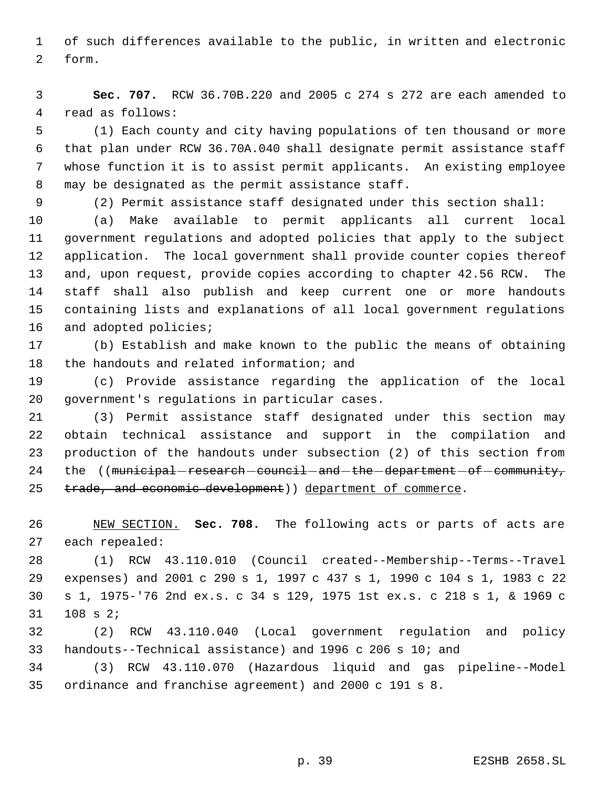of such differences available to the public, in written and electronic form.

 **Sec. 707.** RCW 36.70B.220 and 2005 c 274 s 272 are each amended to read as follows:

 (1) Each county and city having populations of ten thousand or more that plan under RCW 36.70A.040 shall designate permit assistance staff whose function it is to assist permit applicants. An existing employee may be designated as the permit assistance staff.

(2) Permit assistance staff designated under this section shall:

 (a) Make available to permit applicants all current local government regulations and adopted policies that apply to the subject application. The local government shall provide counter copies thereof and, upon request, provide copies according to chapter 42.56 RCW. The staff shall also publish and keep current one or more handouts containing lists and explanations of all local government regulations and adopted policies;

 (b) Establish and make known to the public the means of obtaining the handouts and related information; and

 (c) Provide assistance regarding the application of the local government's regulations in particular cases.

 (3) Permit assistance staff designated under this section may obtain technical assistance and support in the compilation and production of the handouts under subsection (2) of this section from 24 the ((municipal-research-council-and-the-department-of-community, 25 trade, and economic development) department of commerce.

 NEW SECTION. **Sec. 708.** The following acts or parts of acts are each repealed:

 (1) RCW 43.110.010 (Council created--Membership--Terms--Travel expenses) and 2001 c 290 s 1, 1997 c 437 s 1, 1990 c 104 s 1, 1983 c 22 s 1, 1975-'76 2nd ex.s. c 34 s 129, 1975 1st ex.s. c 218 s 1, & 1969 c 108 s 2;

 (2) RCW 43.110.040 (Local government regulation and policy handouts--Technical assistance) and 1996 c 206 s 10; and

 (3) RCW 43.110.070 (Hazardous liquid and gas pipeline--Model ordinance and franchise agreement) and 2000 c 191 s 8.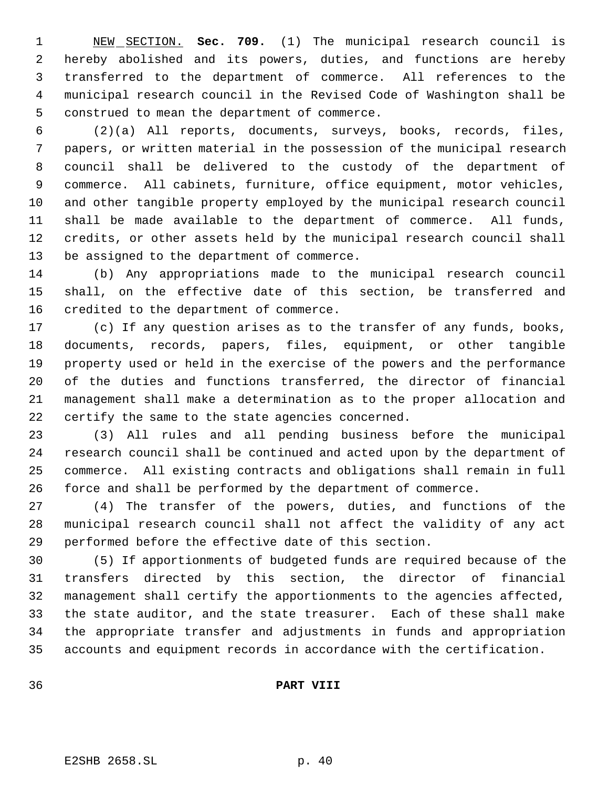NEW SECTION. **Sec. 709.** (1) The municipal research council is hereby abolished and its powers, duties, and functions are hereby transferred to the department of commerce. All references to the municipal research council in the Revised Code of Washington shall be construed to mean the department of commerce.

 (2)(a) All reports, documents, surveys, books, records, files, papers, or written material in the possession of the municipal research council shall be delivered to the custody of the department of commerce. All cabinets, furniture, office equipment, motor vehicles, and other tangible property employed by the municipal research council shall be made available to the department of commerce. All funds, credits, or other assets held by the municipal research council shall be assigned to the department of commerce.

 (b) Any appropriations made to the municipal research council shall, on the effective date of this section, be transferred and credited to the department of commerce.

 (c) If any question arises as to the transfer of any funds, books, documents, records, papers, files, equipment, or other tangible property used or held in the exercise of the powers and the performance of the duties and functions transferred, the director of financial management shall make a determination as to the proper allocation and certify the same to the state agencies concerned.

 (3) All rules and all pending business before the municipal research council shall be continued and acted upon by the department of commerce. All existing contracts and obligations shall remain in full force and shall be performed by the department of commerce.

 (4) The transfer of the powers, duties, and functions of the municipal research council shall not affect the validity of any act performed before the effective date of this section.

 (5) If apportionments of budgeted funds are required because of the transfers directed by this section, the director of financial management shall certify the apportionments to the agencies affected, the state auditor, and the state treasurer. Each of these shall make the appropriate transfer and adjustments in funds and appropriation accounts and equipment records in accordance with the certification.

# **PART VIII**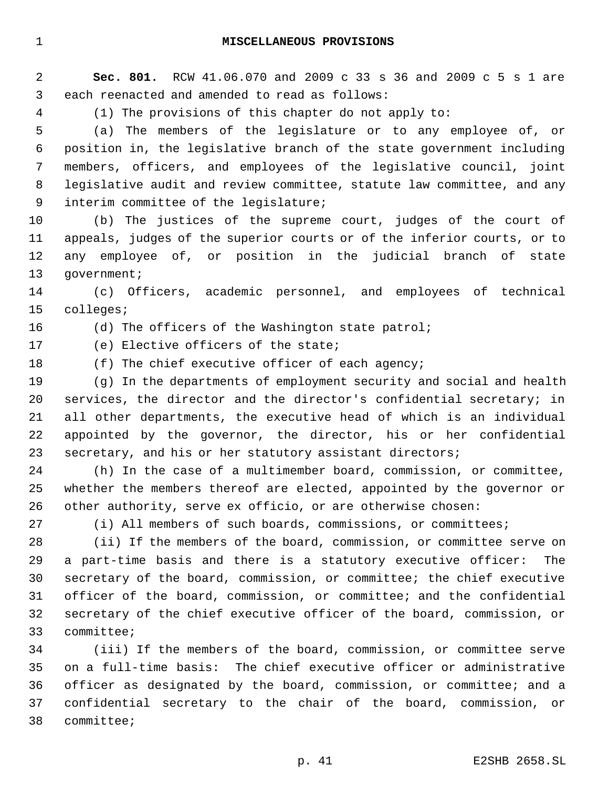**Sec. 801.** RCW 41.06.070 and 2009 c 33 s 36 and 2009 c 5 s 1 are each reenacted and amended to read as follows:

(1) The provisions of this chapter do not apply to:

 (a) The members of the legislature or to any employee of, or position in, the legislative branch of the state government including members, officers, and employees of the legislative council, joint legislative audit and review committee, statute law committee, and any interim committee of the legislature;

 (b) The justices of the supreme court, judges of the court of appeals, judges of the superior courts or of the inferior courts, or to any employee of, or position in the judicial branch of state 13 government;

 (c) Officers, academic personnel, and employees of technical colleges;

16 (d) The officers of the Washington state patrol;

(e) Elective officers of the state;

18 (f) The chief executive officer of each agency;

 (g) In the departments of employment security and social and health services, the director and the director's confidential secretary; in all other departments, the executive head of which is an individual appointed by the governor, the director, his or her confidential secretary, and his or her statutory assistant directors;

 (h) In the case of a multimember board, commission, or committee, whether the members thereof are elected, appointed by the governor or other authority, serve ex officio, or are otherwise chosen:

(i) All members of such boards, commissions, or committees;

 (ii) If the members of the board, commission, or committee serve on a part-time basis and there is a statutory executive officer: The secretary of the board, commission, or committee; the chief executive officer of the board, commission, or committee; and the confidential secretary of the chief executive officer of the board, commission, or committee;

 (iii) If the members of the board, commission, or committee serve on a full-time basis: The chief executive officer or administrative officer as designated by the board, commission, or committee; and a confidential secretary to the chair of the board, commission, or committee;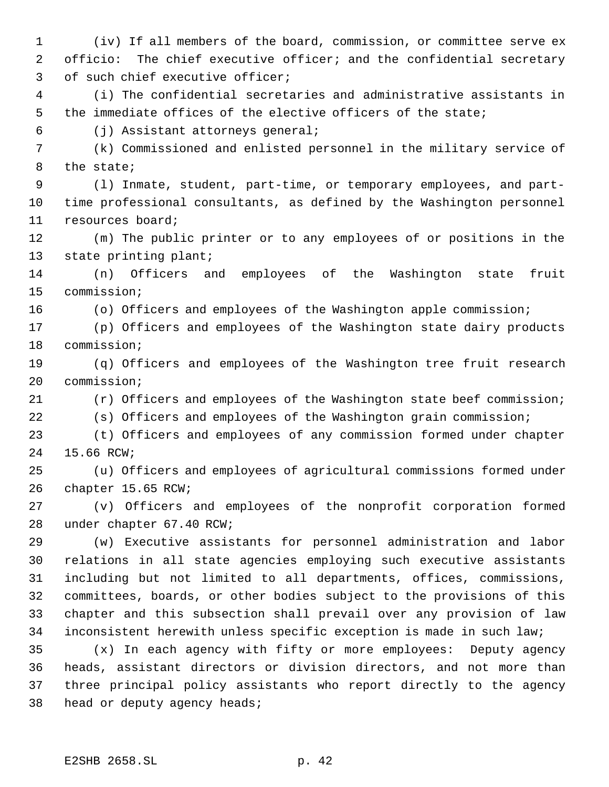(iv) If all members of the board, commission, or committee serve ex officio: The chief executive officer; and the confidential secretary of such chief executive officer;

 (i) The confidential secretaries and administrative assistants in the immediate offices of the elective officers of the state;

(j) Assistant attorneys general;

 (k) Commissioned and enlisted personnel in the military service of the state;

 (l) Inmate, student, part-time, or temporary employees, and part- time professional consultants, as defined by the Washington personnel resources board;

 (m) The public printer or to any employees of or positions in the state printing plant;

 (n) Officers and employees of the Washington state fruit commission;

(o) Officers and employees of the Washington apple commission;

 (p) Officers and employees of the Washington state dairy products commission;

 (q) Officers and employees of the Washington tree fruit research commission;

(r) Officers and employees of the Washington state beef commission;

(s) Officers and employees of the Washington grain commission;

 (t) Officers and employees of any commission formed under chapter 15.66 RCW;

 (u) Officers and employees of agricultural commissions formed under chapter 15.65 RCW;

 (v) Officers and employees of the nonprofit corporation formed under chapter 67.40 RCW;

 (w) Executive assistants for personnel administration and labor relations in all state agencies employing such executive assistants including but not limited to all departments, offices, commissions, committees, boards, or other bodies subject to the provisions of this chapter and this subsection shall prevail over any provision of law inconsistent herewith unless specific exception is made in such law;

 (x) In each agency with fifty or more employees: Deputy agency heads, assistant directors or division directors, and not more than three principal policy assistants who report directly to the agency head or deputy agency heads;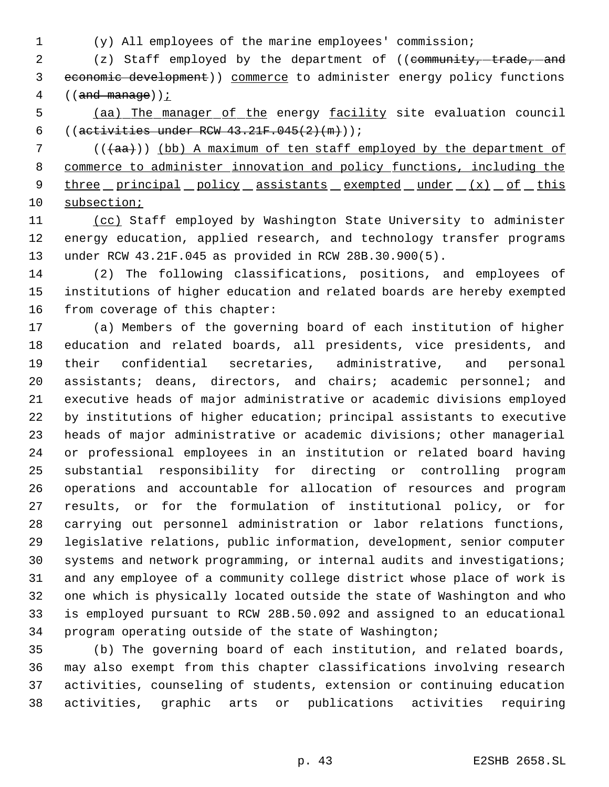(y) All employees of the marine employees' commission;

2 (z) Staff employed by the department of ((community, trade, and economic development)) commerce to administer energy policy functions 4  $((and manage))$  ;

 (aa) The manager of the energy facility site evaluation council 6 (( $\text{activities under RCW } 43.21 \text{F} .045(2)(\text{m}))$ ;

7 ( $((+aa))$  (bb) A maximum of ten staff employed by the department of commerce to administer innovation and policy functions, including the 9 three principal policy assistants exempted under (x) of this subsection;

 (cc) Staff employed by Washington State University to administer energy education, applied research, and technology transfer programs under RCW 43.21F.045 as provided in RCW 28B.30.900(5).

 (2) The following classifications, positions, and employees of institutions of higher education and related boards are hereby exempted from coverage of this chapter:

 (a) Members of the governing board of each institution of higher education and related boards, all presidents, vice presidents, and their confidential secretaries, administrative, and personal assistants; deans, directors, and chairs; academic personnel; and executive heads of major administrative or academic divisions employed by institutions of higher education; principal assistants to executive heads of major administrative or academic divisions; other managerial or professional employees in an institution or related board having substantial responsibility for directing or controlling program operations and accountable for allocation of resources and program results, or for the formulation of institutional policy, or for carrying out personnel administration or labor relations functions, legislative relations, public information, development, senior computer systems and network programming, or internal audits and investigations; and any employee of a community college district whose place of work is one which is physically located outside the state of Washington and who is employed pursuant to RCW 28B.50.092 and assigned to an educational program operating outside of the state of Washington;

 (b) The governing board of each institution, and related boards, may also exempt from this chapter classifications involving research activities, counseling of students, extension or continuing education activities, graphic arts or publications activities requiring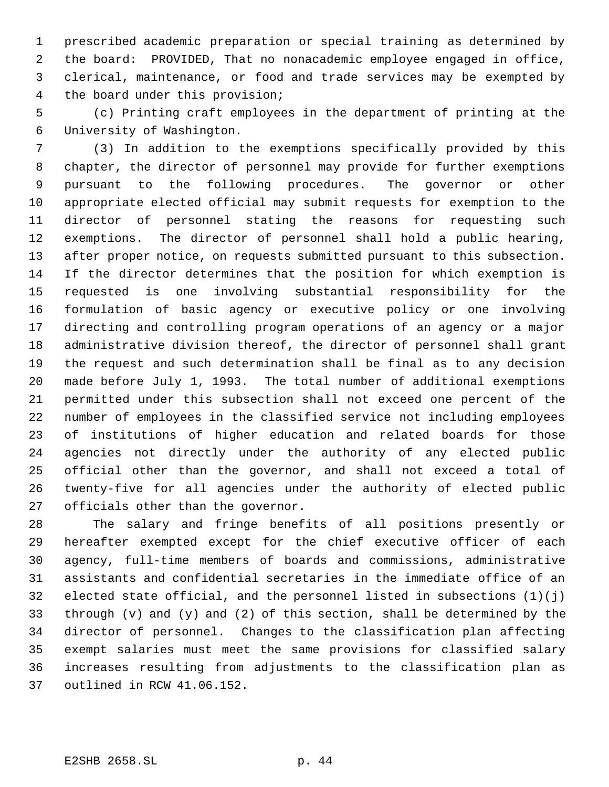prescribed academic preparation or special training as determined by the board: PROVIDED, That no nonacademic employee engaged in office, clerical, maintenance, or food and trade services may be exempted by the board under this provision;

 (c) Printing craft employees in the department of printing at the University of Washington.

 (3) In addition to the exemptions specifically provided by this chapter, the director of personnel may provide for further exemptions pursuant to the following procedures. The governor or other appropriate elected official may submit requests for exemption to the director of personnel stating the reasons for requesting such exemptions. The director of personnel shall hold a public hearing, after proper notice, on requests submitted pursuant to this subsection. If the director determines that the position for which exemption is requested is one involving substantial responsibility for the formulation of basic agency or executive policy or one involving directing and controlling program operations of an agency or a major administrative division thereof, the director of personnel shall grant the request and such determination shall be final as to any decision made before July 1, 1993. The total number of additional exemptions permitted under this subsection shall not exceed one percent of the number of employees in the classified service not including employees of institutions of higher education and related boards for those agencies not directly under the authority of any elected public official other than the governor, and shall not exceed a total of twenty-five for all agencies under the authority of elected public officials other than the governor.

 The salary and fringe benefits of all positions presently or hereafter exempted except for the chief executive officer of each agency, full-time members of boards and commissions, administrative assistants and confidential secretaries in the immediate office of an 32 elected state official, and the personnel listed in subsections  $(1)(i)$  through (v) and (y) and (2) of this section, shall be determined by the director of personnel. Changes to the classification plan affecting exempt salaries must meet the same provisions for classified salary increases resulting from adjustments to the classification plan as outlined in RCW 41.06.152.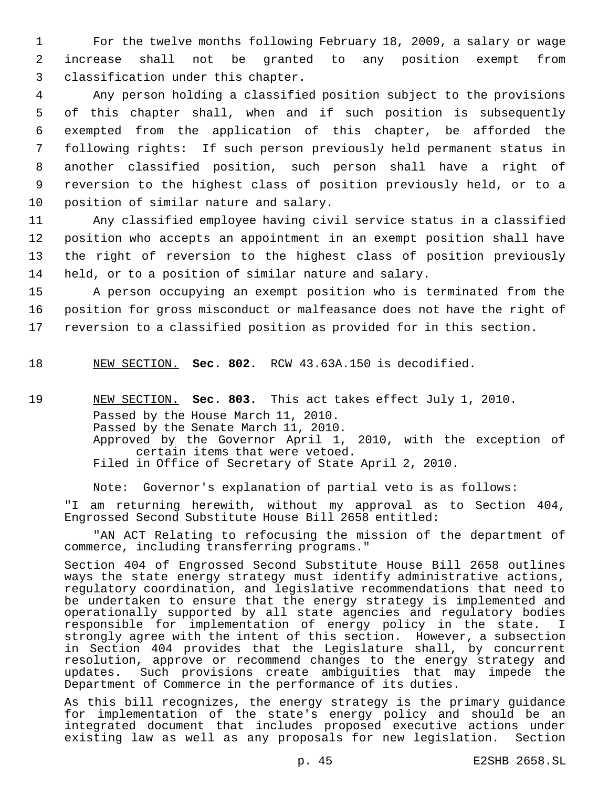1 For the twelve months following February 18, 2009, a salary or wage 2 increase shall not be granted to any position exempt from 3 classification under this chapter.

 Any person holding a classified position subject to the provisions of this chapter shall, when and if such position is subsequently exempted from the application of this chapter, be afforded the following rights: If such person previously held permanent status in another classified position, such person shall have a right of reversion to the highest class of position previously held, or to a position of similar nature and salary.

 Any classified employee having civil service status in a classified position who accepts an appointment in an exempt position shall have the right of reversion to the highest class of position previously held, or to a position of similar nature and salary.

15 A person occupying an exempt position who is terminated from the 16 position for gross misconduct or malfeasance does not have the right of 17 reversion to a classified position as provided for in this section.

18 NEW SECTION. **Sec. 802.** RCW 43.63A.150 is decodified.

19 NEW SECTION. **Sec. 803.** This act takes effect July 1, 2010. Passed by the House March 11, 2010. Passed by the Senate March 11, 2010. Approved by the Governor April 1, 2010, with the exception of certain items that were vetoed. Filed in Office of Secretary of State April 2, 2010.

Note: Governor's explanation of partial veto is as follows:

"I am returning herewith, without my approval as to Section 404, Engrossed Second Substitute House Bill 2658 entitled:

"AN ACT Relating to refocusing the mission of the department of commerce, including transferring programs."

Section 404 of Engrossed Second Substitute House Bill 2658 outlines ways the state energy strategy must identify administrative actions, regulatory coordination, and legislative recommendations that need to be undertaken to ensure that the energy strategy is implemented and operationally supported by all state agencies and regulatory bodies responsible for implementation of energy policy in the state. I strongly agree with the intent of this section. However, a subsection in Section 404 provides that the Legislature shall, by concurrent resolution, approve or recommend changes to the energy strategy and updates. Such provisions create ambiguities that may impede the Department of Commerce in the performance of its duties.

As this bill recognizes, the energy strategy is the primary guidance for implementation of the state's energy policy and should be an integrated document that includes proposed executive actions under existing law as well as any proposals for new legislation. Section